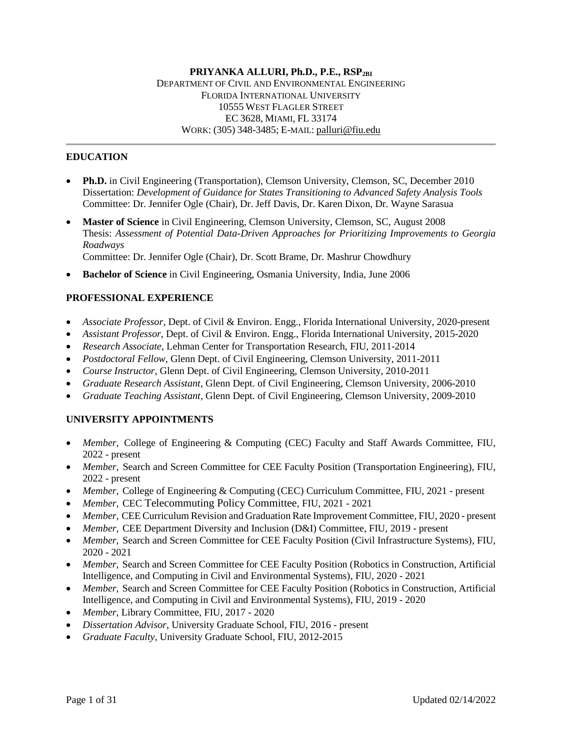#### **PRIYANKA ALLURI, Ph.D., P.E., RSP2BI** DEPARTMENT OF CIVIL AND ENVIRONMENTAL ENGINEERING FLORIDA INTERNATIONAL UNIVERSITY 10555 WEST FLAGLER STREET EC 3628, MIAMI, FL 33174 WORK: (305) 348-3485; E-MAIL: [palluri@fiu.edu](mailto:palluri@fiu.edu)

#### **EDUCATION**

- **Ph.D.** in Civil Engineering (Transportation), Clemson University, Clemson, SC, December 2010 Dissertation: *Development of Guidance for States Transitioning to Advanced Safety Analysis Tools* Committee: Dr. Jennifer Ogle (Chair), Dr. Jeff Davis, Dr. Karen Dixon, Dr. Wayne Sarasua
- **Master of Science** in Civil Engineering, Clemson University, Clemson, SC, August 2008 Thesis: *Assessment of Potential Data-Driven Approaches for Prioritizing Improvements to Georgia Roadways*

Committee: Dr. Jennifer Ogle (Chair), Dr. Scott Brame, Dr. Mashrur Chowdhury

**Bachelor of Science** in Civil Engineering, Osmania University, India, June 2006

### **PROFESSIONAL EXPERIENCE**

- *Associate Professor*, Dept. of Civil & Environ. Engg., Florida International University, 2020-present
- *Assistant Professor*, Dept. of Civil & Environ. Engg., Florida International University, 2015-2020
- *Research Associate*, Lehman Center for Transportation Research, FIU, 2011-2014
- *Postdoctoral Fellow*, Glenn Dept. of Civil Engineering, Clemson University, 2011-2011
- *Course Instructor*, Glenn Dept. of Civil Engineering, Clemson University, 2010-2011
- *Graduate Research Assistant*, Glenn Dept. of Civil Engineering, Clemson University, 2006-2010
- *Graduate Teaching Assistant*, Glenn Dept. of Civil Engineering, Clemson University, 2009-2010

## **UNIVERSITY APPOINTMENTS**

- *Member,* College of Engineering & Computing (CEC) Faculty and Staff Awards Committee, FIU, 2022 - present
- *Member,* Search and Screen Committee for CEE Faculty Position (Transportation Engineering), FIU, 2022 - present
- *Member,* College of Engineering & Computing (CEC) Curriculum Committee, FIU, 2021 present
- *Member,* CEC Telecommuting Policy Committee, FIU, 2021 2021
- *Member,* CEE Curriculum Revision and Graduation Rate Improvement Committee, FIU, 2020 present
- *Member,* CEE Department Diversity and Inclusion (D&I) Committee, FIU, 2019 present
- *Member,* Search and Screen Committee for CEE Faculty Position (Civil Infrastructure Systems), FIU, 2020 - 2021
- *Member,* Search and Screen Committee for CEE Faculty Position (Robotics in Construction, Artificial Intelligence, and Computing in Civil and Environmental Systems), FIU, 2020 - 2021
- *Member,* Search and Screen Committee for CEE Faculty Position (Robotics in Construction, Artificial Intelligence, and Computing in Civil and Environmental Systems), FIU, 2019 - 2020
- *Member,* Library Committee, FIU, 2017 2020
- *Dissertation Advisor*, University Graduate School, FIU, 2016 present
- *Graduate Faculty*, University Graduate School, FIU, 2012-2015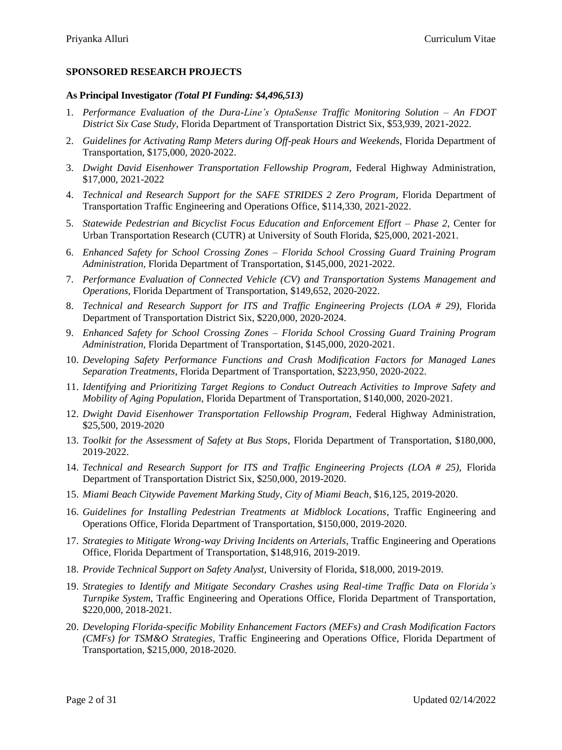## **SPONSORED RESEARCH PROJECTS**

### **As Principal Investigator** *(Total PI Funding: \$4,496,513)*

- 1. *Performance Evaluation of the Dura-Line's OptaSense Traffic Monitoring Solution – An FDOT District Six Case Study,* Florida Department of Transportation District Six, \$53,939, 2021-2022.
- 2. *Guidelines for Activating Ramp Meters during Off-peak Hours and Weekends,* Florida Department of Transportation, \$175,000, 2020-2022.
- 3. *Dwight David Eisenhower Transportation Fellowship Program*, Federal Highway Administration, \$17,000, 2021-2022
- 4. *Technical and Research Support for the SAFE STRIDES 2 Zero Program*, Florida Department of Transportation Traffic Engineering and Operations Office, \$114,330, 2021-2022.
- 5. *Statewide Pedestrian and Bicyclist Focus Education and Enforcement Effort Phase 2, Center for* Urban Transportation Research (CUTR) at University of South Florida, \$25,000, 2021-2021.
- 6. *Enhanced Safety for School Crossing Zones – Florida School Crossing Guard Training Program Administration,* Florida Department of Transportation, \$145,000, 2021-2022.
- 7. *Performance Evaluation of Connected Vehicle (CV) and Transportation Systems Management and Operations,* Florida Department of Transportation, \$149,652, 2020-2022.
- 8. *Technical and Research Support for ITS and Traffic Engineering Projects (LOA # 29)*, Florida Department of Transportation District Six, \$220,000, 2020-2024.
- 9. *Enhanced Safety for School Crossing Zones – Florida School Crossing Guard Training Program Administration,* Florida Department of Transportation, \$145,000, 2020-2021.
- 10. *Developing Safety Performance Functions and Crash Modification Factors for Managed Lanes Separation Treatments,* Florida Department of Transportation, \$223,950, 2020-2022.
- 11. *Identifying and Prioritizing Target Regions to Conduct Outreach Activities to Improve Safety and Mobility of Aging Population,* Florida Department of Transportation, \$140,000, 2020-2021.
- 12. *Dwight David Eisenhower Transportation Fellowship Program*, Federal Highway Administration, \$25,500, 2019-2020
- 13. *Toolkit for the Assessment of Safety at Bus Stops,* Florida Department of Transportation, \$180,000, 2019-2022.
- 14. *Technical and Research Support for ITS and Traffic Engineering Projects (LOA # 25),* Florida Department of Transportation District Six, \$250,000, 2019-2020.
- 15. *Miami Beach Citywide Pavement Marking Study, City of Miami Beach*, \$16,125, 2019-2020.
- 16. *Guidelines for Installing Pedestrian Treatments at Midblock Locations*, Traffic Engineering and Operations Office, Florida Department of Transportation, \$150,000, 2019-2020.
- 17. *Strategies to Mitigate Wrong-way Driving Incidents on Arterials*, Traffic Engineering and Operations Office, Florida Department of Transportation, \$148,916, 2019-2019.
- 18. *Provide Technical Support on Safety Analyst,* University of Florida, \$18,000, 2019-2019.
- 19. *Strategies to Identify and Mitigate Secondary Crashes using Real-time Traffic Data on Florida's Turnpike System*, Traffic Engineering and Operations Office, Florida Department of Transportation, \$220,000, 2018-2021.
- 20. *Developing Florida-specific Mobility Enhancement Factors (MEFs) and Crash Modification Factors (CMFs) for TSM&O Strategies*, Traffic Engineering and Operations Office, Florida Department of Transportation, \$215,000, 2018-2020.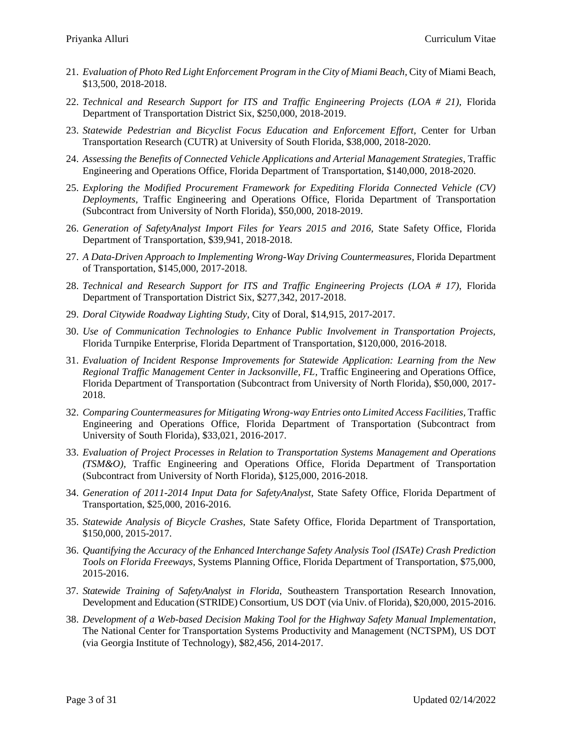- 21. *Evaluation of Photo Red Light Enforcement Program in the City of Miami Beach,* City of Miami Beach, \$13,500, 2018-2018.
- 22. *Technical and Research Support for ITS and Traffic Engineering Projects (LOA # 21),* Florida Department of Transportation District Six, \$250,000, 2018-2019.
- 23. Statewide Pedestrian and Bicyclist Focus Education and Enforcement Effort, Center for Urban Transportation Research (CUTR) at University of South Florida, \$38,000, 2018-2020.
- 24. *Assessing the Benefits of Connected Vehicle Applications and Arterial Management Strategies*, Traffic Engineering and Operations Office, Florida Department of Transportation, \$140,000, 2018-2020.
- 25. *Exploring the Modified Procurement Framework for Expediting Florida Connected Vehicle (CV) Deployments,* Traffic Engineering and Operations Office, Florida Department of Transportation (Subcontract from University of North Florida), \$50,000, 2018-2019.
- 26. *Generation of SafetyAnalyst Import Files for Years 2015 and 2016,* State Safety Office, Florida Department of Transportation, \$39,941, 2018-2018.
- 27. *A Data-Driven Approach to Implementing Wrong-Way Driving Countermeasures,* Florida Department of Transportation, \$145,000, 2017-2018.
- 28. *Technical and Research Support for ITS and Traffic Engineering Projects (LOA # 17)*, Florida Department of Transportation District Six, \$277,342, 2017-2018.
- 29. *Doral Citywide Roadway Lighting Study,* City of Doral, \$14,915, 2017-2017.
- 30. *Use of Communication Technologies to Enhance Public Involvement in Transportation Projects,*  Florida Turnpike Enterprise, Florida Department of Transportation, \$120,000, 2016-2018.
- 31. *Evaluation of Incident Response Improvements for Statewide Application: Learning from the New Regional Traffic Management Center in Jacksonville, FL,* Traffic Engineering and Operations Office, Florida Department of Transportation (Subcontract from University of North Florida), \$50,000, 2017- 2018.
- 32. *Comparing Countermeasures for Mitigating Wrong-way Entries onto Limited Access Facilities,* Traffic Engineering and Operations Office, Florida Department of Transportation (Subcontract from University of South Florida), \$33,021, 2016-2017.
- 33. *Evaluation of Project Processes in Relation to Transportation Systems Management and Operations (TSM&O),* Traffic Engineering and Operations Office, Florida Department of Transportation (Subcontract from University of North Florida), \$125,000, 2016-2018.
- 34. *Generation of 2011-2014 Input Data for SafetyAnalyst,* State Safety Office, Florida Department of Transportation, \$25,000, 2016-2016.
- 35. *Statewide Analysis of Bicycle Crashes,* State Safety Office, Florida Department of Transportation, \$150,000, 2015-2017.
- 36. *Quantifying the Accuracy of the Enhanced Interchange Safety Analysis Tool (ISATe) Crash Prediction Tools on Florida Freeways,* Systems Planning Office, Florida Department of Transportation, \$75,000, 2015-2016.
- 37. *Statewide Training of SafetyAnalyst in Florida*, Southeastern Transportation Research Innovation, Development and Education (STRIDE) Consortium, US DOT (via Univ. of Florida), \$20,000, 2015-2016.
- 38. *Development of a Web-based Decision Making Tool for the Highway Safety Manual Implementation*, The National Center for Transportation Systems Productivity and Management (NCTSPM), US DOT (via Georgia Institute of Technology), \$82,456, 2014-2017.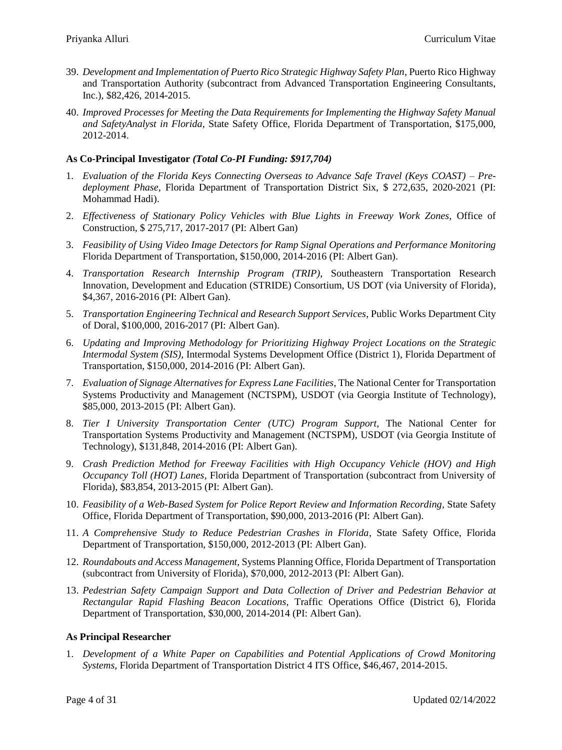- 39. *Development and Implementation of Puerto Rico Strategic Highway Safety Plan*, Puerto Rico Highway and Transportation Authority (subcontract from Advanced Transportation Engineering Consultants, Inc.), \$82,426, 2014-2015.
- 40. *Improved Processes for Meeting the Data Requirements for Implementing the Highway Safety Manual and SafetyAnalyst in Florida*, State Safety Office, Florida Department of Transportation, \$175,000, 2012-2014.

### **As Co-Principal Investigator** *(Total Co-PI Funding: \$917,704)*

- 1. *Evaluation of the Florida Keys Connecting Overseas to Advance Safe Travel (Keys COAST) – Predeployment Phase,* Florida Department of Transportation District Six, \$ 272,635, 2020-2021 (PI: Mohammad Hadi).
- 2. *Effectiveness of Stationary Policy Vehicles with Blue Lights in Freeway Work Zones,* Office of Construction, \$ 275,717, 2017-2017 (PI: Albert Gan)
- 3. *Feasibility of Using Video Image Detectors for Ramp Signal Operations and Performance Monitoring* Florida Department of Transportation, \$150,000, 2014-2016 (PI: Albert Gan).
- 4. *Transportation Research Internship Program (TRIP)*, Southeastern Transportation Research Innovation, Development and Education (STRIDE) Consortium, US DOT (via University of Florida), \$4,367, 2016-2016 (PI: Albert Gan).
- 5. *Transportation Engineering Technical and Research Support Services*, Public Works Department City of Doral, \$100,000, 2016-2017 (PI: Albert Gan).
- 6. *Updating and Improving Methodology for Prioritizing Highway Project Locations on the Strategic Intermodal System (SIS)*, Intermodal Systems Development Office (District 1), Florida Department of Transportation, \$150,000, 2014-2016 (PI: Albert Gan).
- 7. *Evaluation of Signage Alternatives for Express Lane Facilities*, The National Center for Transportation Systems Productivity and Management (NCTSPM), USDOT (via Georgia Institute of Technology), \$85,000, 2013-2015 (PI: Albert Gan).
- 8. *Tier I University Transportation Center (UTC) Program Support*, The National Center for Transportation Systems Productivity and Management (NCTSPM), USDOT (via Georgia Institute of Technology), \$131,848, 2014-2016 (PI: Albert Gan).
- 9. *Crash Prediction Method for Freeway Facilities with High Occupancy Vehicle (HOV) and High Occupancy Toll (HOT) Lanes*, Florida Department of Transportation (subcontract from University of Florida), \$83,854, 2013-2015 (PI: Albert Gan).
- 10. *Feasibility of a Web-Based System for Police Report Review and Information Recording*, State Safety Office, Florida Department of Transportation, \$90,000, 2013-2016 (PI: Albert Gan).
- 11. *A Comprehensive Study to Reduce Pedestrian Crashes in Florida*, State Safety Office, Florida Department of Transportation, \$150,000, 2012-2013 (PI: Albert Gan).
- 12. *Roundabouts and Access Management*, Systems Planning Office, Florida Department of Transportation (subcontract from University of Florida), \$70,000, 2012-2013 (PI: Albert Gan).
- 13. *Pedestrian Safety Campaign Support and Data Collection of Driver and Pedestrian Behavior at Rectangular Rapid Flashing Beacon Locations*, Traffic Operations Office (District 6), Florida Department of Transportation, \$30,000, 2014-2014 (PI: Albert Gan).

#### **As Principal Researcher**

1. *Development of a White Paper on Capabilities and Potential Applications of Crowd Monitoring Systems,* Florida Department of Transportation District 4 ITS Office, \$46,467, 2014-2015.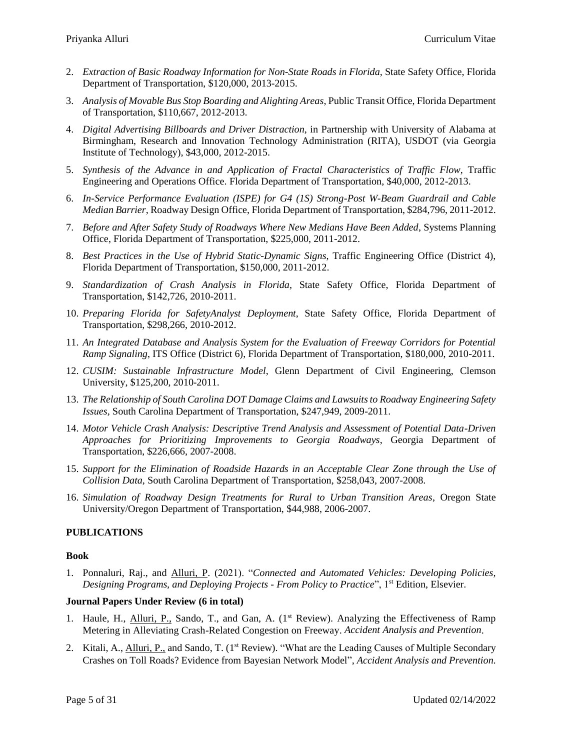- 2. *Extraction of Basic Roadway Information for Non-State Roads in Florida,* State Safety Office, Florida Department of Transportation, \$120,000, 2013-2015.
- 3. *Analysis of Movable Bus Stop Boarding and Alighting Areas*, Public Transit Office, Florida Department of Transportation, \$110,667, 2012-2013.
- 4. *Digital Advertising Billboards and Driver Distraction*, in Partnership with University of Alabama at Birmingham, Research and Innovation Technology Administration (RITA), USDOT (via Georgia Institute of Technology), \$43,000, 2012-2015.
- 5. *Synthesis of the Advance in and Application of Fractal Characteristics of Traffic Flow,* Traffic Engineering and Operations Office. Florida Department of Transportation, \$40,000, 2012-2013.
- 6. *In-Service Performance Evaluation (ISPE) for G4 (1S) Strong-Post W-Beam Guardrail and Cable Median Barrier*, Roadway Design Office, Florida Department of Transportation, \$284,796, 2011-2012.
- 7. *Before and After Safety Study of Roadways Where New Medians Have Been Added*, Systems Planning Office, Florida Department of Transportation, \$225,000, 2011-2012.
- 8. *Best Practices in the Use of Hybrid Static-Dynamic Signs*, Traffic Engineering Office (District 4), Florida Department of Transportation, \$150,000, 2011-2012.
- 9. *Standardization of Crash Analysis in Florida,* State Safety Office, Florida Department of Transportation, \$142,726, 2010-2011.
- 10. *Preparing Florida for SafetyAnalyst Deployment*, State Safety Office, Florida Department of Transportation, \$298,266, 2010-2012.
- 11. *An Integrated Database and Analysis System for the Evaluation of Freeway Corridors for Potential Ramp Signaling*, ITS Office (District 6), Florida Department of Transportation, \$180,000, 2010-2011.
- 12. *CUSIM: Sustainable Infrastructure Model*, Glenn Department of Civil Engineering, Clemson University, \$125,200, 2010-2011.
- 13. *The Relationship of South Carolina DOT Damage Claims and Lawsuits to Roadway Engineering Safety Issues,* South Carolina Department of Transportation, \$247,949, 2009-2011.
- 14. *Motor Vehicle Crash Analysis: Descriptive Trend Analysis and Assessment of Potential Data-Driven Approaches for Prioritizing Improvements to Georgia Roadways*, Georgia Department of Transportation, \$226,666, 2007-2008.
- 15. *Support for the Elimination of Roadside Hazards in an Acceptable Clear Zone through the Use of Collision Data*, South Carolina Department of Transportation, \$258,043, 2007-2008.
- 16. *Simulation of Roadway Design Treatments for Rural to Urban Transition Areas*, Oregon State University/Oregon Department of Transportation, \$44,988, 2006-2007.

#### **PUBLICATIONS**

#### **Book**

1. Ponnaluri, Raj., and Alluri, P. (2021). "*Connected and Automated Vehicles: Developing Policies, Designing Programs, and Deploying Projects - From Policy to Practice*", 1st Edition, Elsevier.

#### **Journal Papers Under Review (6 in total)**

- 1. Haule, H., Alluri, P., Sando, T., and Gan, A. (1<sup>st</sup> Review). Analyzing the Effectiveness of Ramp Metering in Alleviating Crash-Related Congestion on Freeway. *Accident Analysis and Prevention*.
- 2. Kitali, A., *Alluri, P., and Sando, T. (1<sup>st</sup> Review)*. "What are the Leading Causes of Multiple Secondary Crashes on Toll Roads? Evidence from Bayesian Network Model", *Accident Analysis and Prevention.*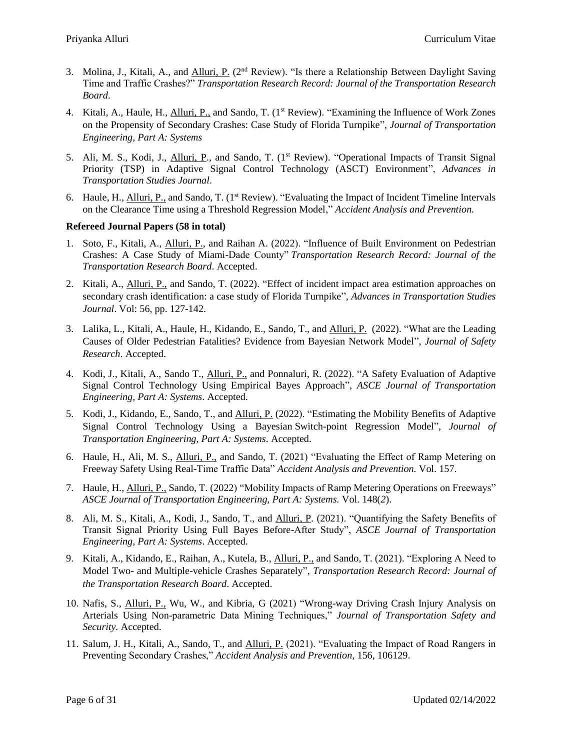- 3. Molina, J., Kitali, A., and *Alluri, P.* (2<sup>nd</sup> Review). "Is there a Relationship Between Daylight Saving Time and Traffic Crashes?" *Transportation Research Record: Journal of the Transportation Research Board*.
- 4. Kitali, A., Haule, H., Alluri, P., and Sando, T. (1st Review). "Examining the Influence of Work Zones on the Propensity of Secondary Crashes: Case Study of Florida Turnpike", *Journal of Transportation Engineering, Part A: Systems*
- 5. Ali, M. S., Kodi, J., *Alluri, P.*, and Sando, T. (1<sup>st</sup> Review). "Operational Impacts of Transit Signal Priority (TSP) in Adaptive Signal Control Technology (ASCT) Environment", *Advances in Transportation Studies Journal*.
- 6. Haule, H., **Alluri, P.,** and Sando, T. (1<sup>st</sup> Review). "Evaluating the Impact of Incident Timeline Intervals on the Clearance Time using a Threshold Regression Model," *Accident Analysis and Prevention.*

### **Refereed Journal Papers (58 in total)**

- 1. Soto, F., Kitali, A., Alluri, P., and Raihan A. (2022). "Influence of Built Environment on Pedestrian Crashes: A Case Study of Miami-Dade County" *Transportation Research Record: Journal of the Transportation Research Board*. Accepted.
- 2. Kitali, A., Alluri, P., and Sando, T. (2022). "Effect of incident impact area estimation approaches on secondary crash identification: a case study of Florida Turnpike", *Advances in Transportation Studies Journal*. Vol: 56, pp. 127-142.
- 3. Lalika, L., Kitali, A., Haule, H., Kidando, E., Sando, T., and Alluri, P. (2022). "What are the Leading Causes of Older Pedestrian Fatalities? Evidence from Bayesian Network Model", *Journal of Safety Research*. Accepted.
- 4. Kodi, J., Kitali, A., Sando T., Alluri, P., and Ponnaluri, R. (2022). "A Safety Evaluation of Adaptive Signal Control Technology Using Empirical Bayes Approach", *ASCE Journal of Transportation Engineering, Part A: Systems*. Accepted.
- 5. Kodi, J., Kidando, E., Sando, T., and Alluri, P. (2022). "Estimating the Mobility Benefits of Adaptive Signal Control Technology Using a Bayesian Switch-point Regression Model", *Journal of Transportation Engineering, Part A: Systems*. Accepted.
- 6. Haule, H., Ali, M. S., Alluri, P., and Sando, T. (2021) "Evaluating the Effect of Ramp Metering on Freeway Safety Using Real-Time Traffic Data" *Accident Analysis and Prevention.* Vol. 157.
- 7. Haule, H., Alluri, P., Sando, T. (2022) "Mobility Impacts of Ramp Metering Operations on Freeways" *ASCE Journal of Transportation Engineering, Part A: Systems.* Vol. 148(*2*).
- 8. Ali, M. S., Kitali, A., Kodi, J., Sando, T., and Alluri, P. (2021). "Quantifying the Safety Benefits of Transit Signal Priority Using Full Bayes Before-After Study", *ASCE Journal of Transportation Engineering, Part A: Systems*. Accepted.
- 9. Kitali, A., Kidando, E., Raihan, A., Kutela, B., Alluri, P., and Sando, T. (2021). "Exploring A Need to Model Two- and Multiple-vehicle Crashes Separately", *Transportation Research Record: Journal of the Transportation Research Board*. Accepted.
- 10. Nafis, S., Alluri, P., Wu, W., and Kibria, G (2021) "Wrong-way Driving Crash Injury Analysis on Arterials Using Non-parametric Data Mining Techniques," *Journal of Transportation Safety and Security.* Accepted.
- 11. Salum, J. H., Kitali, A., Sando, T., and Alluri, P. (2021). "Evaluating the Impact of Road Rangers in Preventing Secondary Crashes," *Accident Analysis and Prevention*, 156, 106129.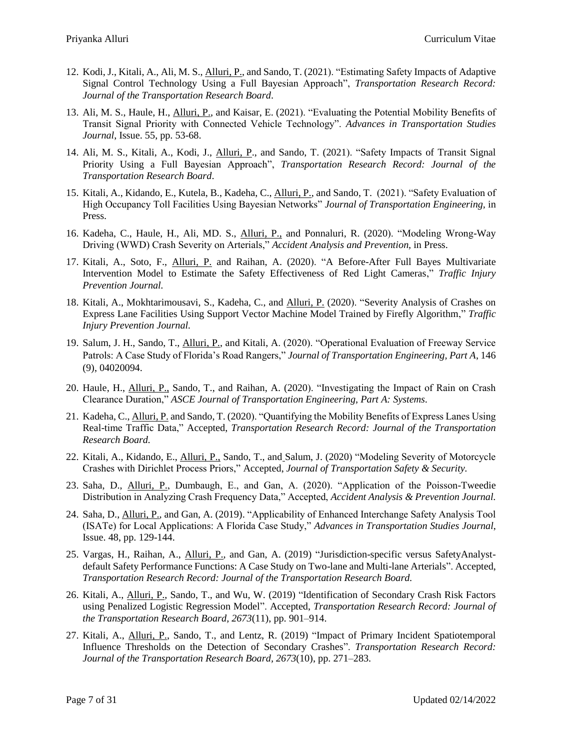- 12. Kodi, J., Kitali, A., Ali, M. S., Alluri, P., and Sando, T. (2021). "Estimating Safety Impacts of Adaptive Signal Control Technology Using a Full Bayesian Approach", *Transportation Research Record: Journal of the Transportation Research Board*.
- 13. Ali, M. S., Haule, H., Alluri, P., and Kaisar, E. (2021). "Evaluating the Potential Mobility Benefits of Transit Signal Priority with Connected Vehicle Technology". *Advances in Transportation Studies Journal*, Issue. 55, pp. 53-68.
- 14. Ali, M. S., Kitali, A., Kodi, J., Alluri, P., and Sando, T. (2021). "Safety Impacts of Transit Signal Priority Using a Full Bayesian Approach", *Transportation Research Record: Journal of the Transportation Research Board*.
- 15. Kitali, A., Kidando, E., Kutela, B., Kadeha, C., Alluri, P., and Sando, T. (2021). "Safety Evaluation of High Occupancy Toll Facilities Using Bayesian Networks" *Journal of Transportation Engineering,* in Press.
- 16. Kadeha, C., Haule, H., Ali, MD. S., Alluri, P., and Ponnaluri, R. (2020). "Modeling Wrong-Way Driving (WWD) Crash Severity on Arterials," *Accident Analysis and Prevention,* in Press.
- 17. Kitali, A., Soto, F., Alluri, P. and Raihan, A. (2020). "A Before-After Full Bayes Multivariate Intervention Model to Estimate the Safety Effectiveness of Red Light Cameras," *Traffic Injury Prevention Journal.*
- 18. Kitali, A., Mokhtarimousavi, S., Kadeha, C., and Alluri, P. (2020). "Severity Analysis of Crashes on Express Lane Facilities Using Support Vector Machine Model Trained by Firefly Algorithm," *Traffic Injury Prevention Journal.*
- 19. Salum, J. H., Sando, T., Alluri, P., and Kitali, A. (2020). "Operational Evaluation of Freeway Service Patrols: A Case Study of Florida's Road Rangers," *Journal of Transportation Engineering, Part A*, 146 (9), 04020094.
- 20. Haule, H., Alluri, P., Sando, T., and Raihan, A. (2020). "Investigating the Impact of Rain on Crash Clearance Duration," *ASCE Journal of Transportation Engineering, Part A: Systems.*
- 21. Kadeha, C., Alluri, P. and Sando, T. (2020). "Quantifying the Mobility Benefits of Express Lanes Using Real-time Traffic Data," Accepted, *Transportation Research Record: Journal of the Transportation Research Board.*
- 22. Kitali, A., Kidando, E., Alluri, P., Sando, T., and Salum, J. (2020) "Modeling Severity of Motorcycle Crashes with Dirichlet Process Priors," Accepted, *Journal of Transportation Safety & Security.*
- 23. Saha, D., Alluri, P., Dumbaugh, E., and Gan, A. (2020). "Application of the Poisson-Tweedie Distribution in Analyzing Crash Frequency Data," Accepted, *Accident Analysis & Prevention Journal.*
- 24. Saha, D., Alluri, P., and Gan, A. (2019). "Applicability of Enhanced Interchange Safety Analysis Tool (ISATe) for Local Applications: A Florida Case Study," *Advances in Transportation Studies Journal*, Issue. 48, pp. 129-144.
- 25. Vargas, H., Raihan, A., Alluri, P., and Gan, A. (2019) "Jurisdiction-specific versus SafetyAnalystdefault Safety Performance Functions: A Case Study on Two-lane and Multi-lane Arterials". Accepted, *Transportation Research Record: Journal of the Transportation Research Board.*
- 26. Kitali, A., Alluri, P., Sando, T., and Wu, W. (2019) "Identification of Secondary Crash Risk Factors using Penalized Logistic Regression Model". Accepted, *Transportation Research Record: Journal of the Transportation Research Board, 2673*(11), pp. 901–914.
- 27. Kitali, A., Alluri, P., Sando, T., and Lentz, R. (2019) "Impact of Primary Incident Spatiotemporal Influence Thresholds on the Detection of Secondary Crashes". *Transportation Research Record: Journal of the Transportation Research Board, 2673*(10), pp. 271–283.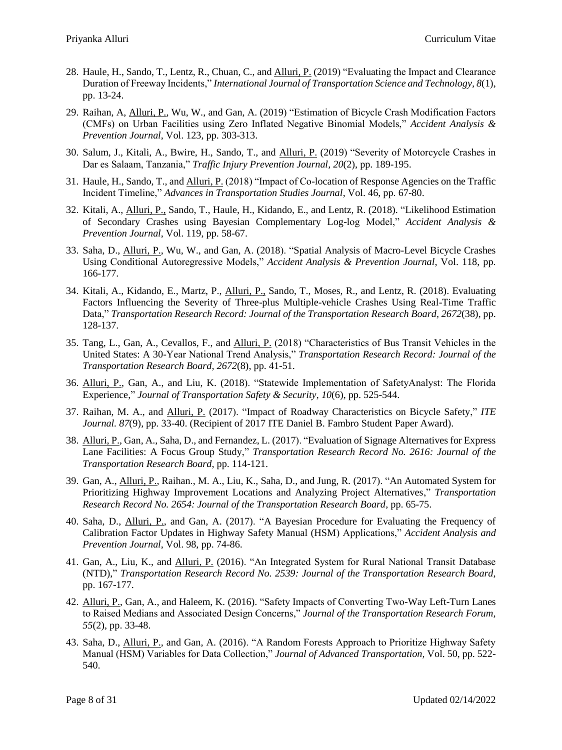- 28. Haule, H., Sando, T., Lentz, R., Chuan, C., and Alluri, P. (2019) "Evaluating the Impact and Clearance Duration of Freeway Incidents," *International Journal of Transportation Science and Technology, 8*(1), pp. 13-24.
- 29. Raihan, A, Alluri, P., Wu, W., and Gan, A. (2019) "Estimation of Bicycle Crash Modification Factors (CMFs) on Urban Facilities using Zero Inflated Negative Binomial Models," *Accident Analysis & Prevention Journal*, Vol. 123, pp. 303-313.
- 30. Salum, J., Kitali, A., Bwire, H., Sando, T., and Alluri, P. (2019) "Severity of Motorcycle Crashes in Dar es Salaam, Tanzania," *Traffic Injury Prevention Journal, 20*(2), pp. 189-195.
- 31. Haule, H., Sando, T., and Alluri, P. (2018) "Impact of Co-location of Response Agencies on the Traffic Incident Timeline," *Advances in Transportation Studies Journal*, Vol. 46, pp. 67-80.
- 32. Kitali, A., Alluri, P., Sando, T., Haule, H., Kidando, E., and Lentz, R. (2018). "Likelihood Estimation of Secondary Crashes using Bayesian Complementary Log-log Model," *Accident Analysis & Prevention Journal*, Vol. 119, pp. 58-67.
- 33. Saha, D., Alluri, P., Wu, W., and Gan, A. (2018). "Spatial Analysis of Macro-Level Bicycle Crashes Using Conditional Autoregressive Models," *Accident Analysis & Prevention Journal*, Vol. 118, pp. 166-177.
- 34. Kitali, A., Kidando, E., Martz, P., Alluri, P., Sando, T., Moses, R., and Lentz, R. (2018). Evaluating Factors Influencing the Severity of Three-plus Multiple-vehicle Crashes Using Real-Time Traffic Data," *Transportation Research Record: Journal of the Transportation Research Board, 2672*(38), pp. 128-137.
- 35. Tang, L., Gan, A., Cevallos, F., and Alluri, P. (2018) "Characteristics of Bus Transit Vehicles in the United States: A 30-Year National Trend Analysis," *Transportation Research Record: Journal of the Transportation Research Board, 2672*(8), pp. 41-51.
- 36. Alluri, P., Gan, A., and Liu, K. (2018). "Statewide Implementation of SafetyAnalyst: The Florida Experience," *Journal of Transportation Safety & Security*, *10*(6), pp. 525-544.
- 37. Raihan, M. A., and Alluri, P. (2017). "Impact of Roadway Characteristics on Bicycle Safety," *ITE Journal. 87*(9)*,* pp. 33-40. (Recipient of 2017 ITE Daniel B. Fambro Student Paper Award).
- 38. Alluri, P., Gan, A., Saha, D., and Fernandez, L. (2017). "Evaluation of Signage Alternatives for Express Lane Facilities: A Focus Group Study," *Transportation Research Record No. 2616: Journal of the Transportation Research Board*, pp. 114-121.
- 39. Gan, A., Alluri, P., Raihan., M. A., Liu, K., Saha, D., and Jung, R. (2017). "An Automated System for Prioritizing Highway Improvement Locations and Analyzing Project Alternatives," *Transportation Research Record No. 2654: Journal of the Transportation Research Board*, pp. 65-75.
- 40. Saha, D., Alluri, P., and Gan, A. (2017). "A Bayesian Procedure for Evaluating the Frequency of Calibration Factor Updates in Highway Safety Manual (HSM) Applications," *Accident Analysis and Prevention Journal*, Vol. 98, pp. 74-86.
- 41. Gan, A., Liu, K., and Alluri, P. (2016). "An Integrated System for Rural National Transit Database (NTD)," *Transportation Research Record No. 2539: Journal of the Transportation Research Board*, pp. 167-177.
- 42. Alluri, P., Gan, A., and Haleem, K. (2016). "Safety Impacts of Converting Two-Way Left-Turn Lanes to Raised Medians and Associated Design Concerns," *Journal of the Transportation Research Forum, 55*(2), pp. 33-48.
- 43. Saha, D., Alluri, P., and Gan, A. (2016). "A Random Forests Approach to Prioritize Highway Safety Manual (HSM) Variables for Data Collection," *Journal of Advanced Transportation,* Vol. 50, pp. 522- 540.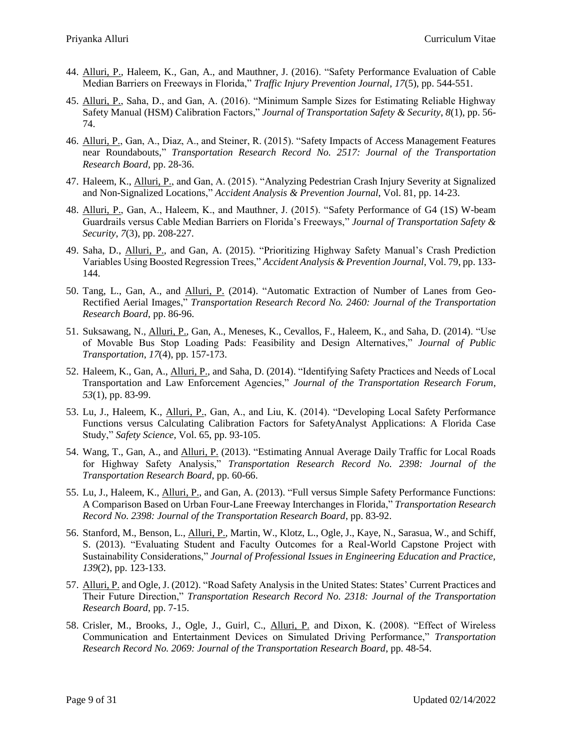- 44. Alluri, P., Haleem, K., Gan, A., and Mauthner, J. (2016). "Safety Performance Evaluation of Cable Median Barriers on Freeways in Florida," *Traffic Injury Prevention Journal, 17*(5), pp. 544-551.
- 45. Alluri, P., Saha, D., and Gan, A. (2016). "Minimum Sample Sizes for Estimating Reliable Highway Safety Manual (HSM) Calibration Factors," *Journal of Transportation Safety & Security*, *8*(1), pp. 56- 74.
- 46. Alluri, P., Gan, A., Diaz, A., and Steiner, R. (2015). "Safety Impacts of Access Management Features near Roundabouts," *Transportation Research Record No. 2517: Journal of the Transportation Research Board,* pp. 28-36.
- 47. Haleem, K., Alluri, P., and Gan, A. (2015). "Analyzing Pedestrian Crash Injury Severity at Signalized and Non-Signalized Locations," *Accident Analysis & Prevention Journal*, Vol. 81, pp. 14-23.
- 48. Alluri, P., Gan, A., Haleem, K., and Mauthner, J. (2015). "Safety Performance of G4 (1S) W-beam Guardrails versus Cable Median Barriers on Florida's Freeways," *Journal of Transportation Safety & Security*, *7*(3), pp. 208-227.
- 49. Saha, D., Alluri, P., and Gan, A. (2015). "Prioritizing Highway Safety Manual's Crash Prediction Variables Using Boosted Regression Trees," *Accident Analysis & Prevention Journal*, Vol. 79, pp. 133- 144.
- 50. Tang, L., Gan, A., and Alluri, P. (2014). "Automatic Extraction of Number of Lanes from Geo-Rectified Aerial Images," *Transportation Research Record No. 2460: Journal of the Transportation Research Board*, pp. 86-96.
- 51. Suksawang, N., Alluri, P., Gan, A., Meneses, K., Cevallos, F., Haleem, K., and Saha, D. (2014). "Use of Movable Bus Stop Loading Pads: Feasibility and Design Alternatives," *Journal of Public Transportation*, *17*(4), pp. 157-173.
- 52. Haleem, K., Gan, A., Alluri, P., and Saha, D. (2014). "Identifying Safety Practices and Needs of Local Transportation and Law Enforcement Agencies," *Journal of the Transportation Research Forum, 53*(1), pp. 83-99.
- 53. Lu, J., Haleem, K., Alluri, P., Gan, A., and Liu, K. (2014). "Developing Local Safety Performance Functions versus Calculating Calibration Factors for SafetyAnalyst Applications: A Florida Case Study," *Safety Science,* Vol. 65, pp. 93-105.
- 54. Wang, T., Gan, A., and Alluri, P. (2013). "Estimating Annual Average Daily Traffic for Local Roads for Highway Safety Analysis," *Transportation Research Record No. 2398: Journal of the Transportation Research Board*, pp. 60-66.
- 55. Lu, J., Haleem, K., Alluri, P., and Gan, A. (2013). "Full versus Simple Safety Performance Functions: A Comparison Based on Urban Four-Lane Freeway Interchanges in Florida," *Transportation Research Record No. 2398: Journal of the Transportation Research Board*, pp. 83-92.
- 56. Stanford, M., Benson, L., Alluri, P., Martin, W., Klotz, L., Ogle, J., Kaye, N., Sarasua, W., and Schiff, S. (2013). "Evaluating Student and Faculty Outcomes for a Real-World Capstone Project with Sustainability Considerations," *Journal of Professional Issues in Engineering Education and Practice, 139*(2), pp. 123-133.
- 57. Alluri, P. and Ogle, J. (2012). "Road Safety Analysis in the United States: States' Current Practices and Their Future Direction," *Transportation Research Record No. 2318: Journal of the Transportation Research Board*, pp. 7-15.
- 58. Crisler, M., Brooks, J., Ogle, J., Guirl, C., Alluri, P. and Dixon, K. (2008). "Effect of Wireless Communication and Entertainment Devices on Simulated Driving Performance," *Transportation Research Record No. 2069: Journal of the Transportation Research Board*, pp. 48-54.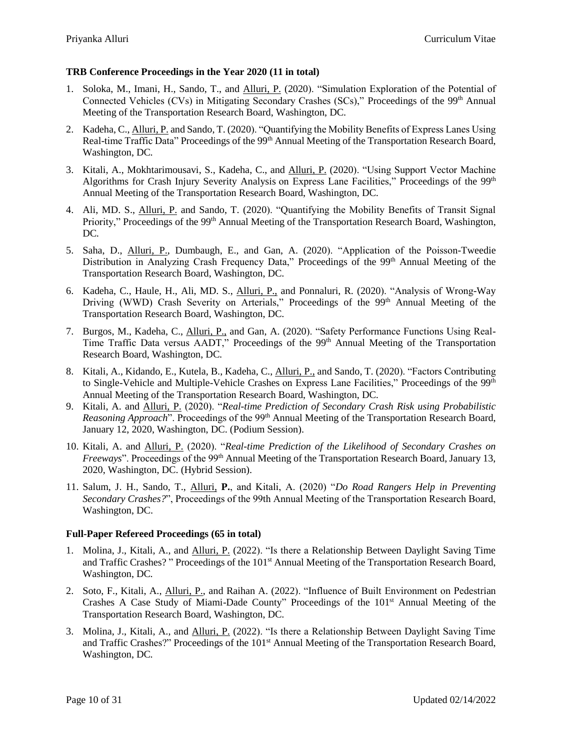### **TRB Conference Proceedings in the Year 2020 (11 in total)**

- 1. Soloka, M., Imani, H., Sando, T., and Alluri, P. (2020). "Simulation Exploration of the Potential of Connected Vehicles (CVs) in Mitigating Secondary Crashes (SCs)," Proceedings of the 99<sup>th</sup> Annual Meeting of the Transportation Research Board, Washington, DC*.*
- 2. Kadeha, C., Alluri, P. and Sando, T. (2020). "Quantifying the Mobility Benefits of Express Lanes Using Real-time Traffic Data" Proceedings of the 99<sup>th</sup> Annual Meeting of the Transportation Research Board, Washington, DC*.*
- 3. Kitali, A., Mokhtarimousavi, S., Kadeha, C., and Alluri, P. (2020). "Using Support Vector Machine Algorithms for Crash Injury Severity Analysis on Express Lane Facilities," Proceedings of the 99<sup>th</sup> Annual Meeting of the Transportation Research Board, Washington, DC*.*
- 4. Ali, MD. S., Alluri, P. and Sando, T. (2020). "Quantifying the Mobility Benefits of Transit Signal Priority," Proceedings of the 99<sup>th</sup> Annual Meeting of the Transportation Research Board, Washington, DC*.*
- 5. Saha, D., Alluri, P., Dumbaugh, E., and Gan, A. (2020). "Application of the Poisson-Tweedie Distribution in Analyzing Crash Frequency Data," Proceedings of the 99<sup>th</sup> Annual Meeting of the Transportation Research Board, Washington, DC*.*
- 6. Kadeha, C., Haule, H., Ali, MD. S., Alluri, P., and Ponnaluri, R. (2020). "Analysis of Wrong-Way Driving (WWD) Crash Severity on Arterials," Proceedings of the 99<sup>th</sup> Annual Meeting of the Transportation Research Board, Washington, DC*.*
- 7. Burgos, M., Kadeha, C., Alluri, P., and Gan, A. (2020). "Safety Performance Functions Using Real-Time Traffic Data versus AADT," Proceedings of the 99<sup>th</sup> Annual Meeting of the Transportation Research Board, Washington, DC*.*
- 8. Kitali, A., Kidando, E., Kutela, B., Kadeha, C., Alluri, P., and Sando, T. (2020). "Factors Contributing to Single-Vehicle and Multiple-Vehicle Crashes on Express Lane Facilities," Proceedings of the 99<sup>th</sup> Annual Meeting of the Transportation Research Board, Washington, DC*.*
- 9. Kitali, A. and Alluri, P. (2020). "*Real-time Prediction of Secondary Crash Risk using Probabilistic Reasoning Approach*". Proceedings of the 99<sup>th</sup> Annual Meeting of the Transportation Research Board, January 12, 2020, Washington, DC. (Podium Session).
- 10. Kitali, A. and Alluri, P. (2020). "*Real-time Prediction of the Likelihood of Secondary Crashes on Freeways*". Proceedings of the 99<sup>th</sup> Annual Meeting of the Transportation Research Board, January 13, 2020, Washington, DC. (Hybrid Session).
- 11. Salum, J. H., Sando, T., Alluri, **P.**, and Kitali, A. (2020) "*Do Road Rangers Help in Preventing Secondary Crashes?*", Proceedings of the 99th Annual Meeting of the Transportation Research Board, Washington, DC.

### **Full-Paper Refereed Proceedings (65 in total)**

- 1. Molina, J., Kitali, A., and Alluri, P. (2022). "Is there a Relationship Between Daylight Saving Time and Traffic Crashes?" Proceedings of the 101<sup>st</sup> Annual Meeting of the Transportation Research Board, Washington, DC*.*
- 2. Soto, F., Kitali, A., Alluri, P., and Raihan A. (2022). "Influence of Built Environment on Pedestrian Crashes A Case Study of Miami-Dade County" Proceedings of the 101<sup>st</sup> Annual Meeting of the Transportation Research Board, Washington, DC*.*
- 3. Molina, J., Kitali, A., and Alluri, P. (2022). "Is there a Relationship Between Daylight Saving Time and Traffic Crashes?" Proceedings of the 101<sup>st</sup> Annual Meeting of the Transportation Research Board, Washington, DC*.*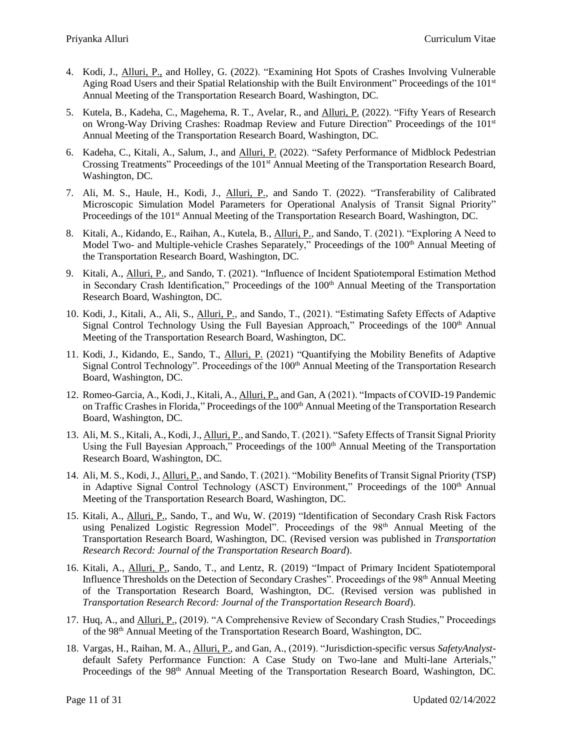- 4. Kodi, J., Alluri, P., and Holley, G. (2022). "Examining Hot Spots of Crashes Involving Vulnerable Aging Road Users and their Spatial Relationship with the Built Environment" Proceedings of the 101st Annual Meeting of the Transportation Research Board, Washington, DC*.*
- 5. Kutela, B., Kadeha, C., Magehema, R. T., Avelar, R., and Alluri, P. (2022). "Fifty Years of Research on Wrong-Way Driving Crashes: Roadmap Review and Future Direction" Proceedings of the 101st Annual Meeting of the Transportation Research Board, Washington, DC*.*
- 6. Kadeha, C., Kitali, A., Salum, J., and Alluri, P. (2022). "Safety Performance of Midblock Pedestrian Crossing Treatments" Proceedings of the 101<sup>st</sup> Annual Meeting of the Transportation Research Board, Washington, DC*.*
- 7. Ali, M. S., Haule, H., Kodi, J., Alluri, P., and Sando T. (2022). "Transferability of Calibrated Microscopic Simulation Model Parameters for Operational Analysis of Transit Signal Priority" Proceedings of the 101st Annual Meeting of the Transportation Research Board, Washington, DC*.*
- 8. Kitali, A., Kidando, E., Raihan, A., Kutela, B., Alluri, P., and Sando, T. (2021). "Exploring A Need to Model Two- and Multiple-vehicle Crashes Separately," Proceedings of the 100<sup>th</sup> Annual Meeting of the Transportation Research Board, Washington, DC*.*
- 9. Kitali, A., Alluri, P., and Sando, T. (2021). "Influence of Incident Spatiotemporal Estimation Method in Secondary Crash Identification," Proceedings of the 100<sup>th</sup> Annual Meeting of the Transportation Research Board, Washington, DC*.*
- 10. Kodi, J., Kitali, A., Ali, S., Alluri, P., and Sando, T., (2021). "Estimating Safety Effects of Adaptive Signal Control Technology Using the Full Bayesian Approach," Proceedings of the 100<sup>th</sup> Annual Meeting of the Transportation Research Board, Washington, DC*.*
- 11. Kodi, J., Kidando, E., Sando, T., Alluri, P. (2021) "Quantifying the Mobility Benefits of Adaptive Signal Control Technology". Proceedings of the 100<sup>th</sup> Annual Meeting of the Transportation Research Board, Washington, DC.
- 12. Romeo-Garcia, A., Kodi, J., Kitali, A., Alluri, P., and Gan, A (2021). "Impacts of COVID-19 Pandemic on Traffic Crashes in Florida," Proceedings of the 100<sup>th</sup> Annual Meeting of the Transportation Research Board, Washington, DC*.*
- 13. Ali, M. S., Kitali, A., Kodi, J., Alluri, P., and Sando, T. (2021). "Safety Effects of Transit Signal Priority Using the Full Bayesian Approach," Proceedings of the 100<sup>th</sup> Annual Meeting of the Transportation Research Board, Washington, DC*.*
- 14. Ali, M. S., Kodi, J., Alluri, P., and Sando, T. (2021). "Mobility Benefits of Transit Signal Priority (TSP) in Adaptive Signal Control Technology (ASCT) Environment," Proceedings of the 100<sup>th</sup> Annual Meeting of the Transportation Research Board, Washington, DC*.*
- 15. Kitali, A., Alluri, P., Sando, T., and Wu, W. (2019) "Identification of Secondary Crash Risk Factors using Penalized Logistic Regression Model". Proceedings of the  $98<sup>th</sup>$  Annual Meeting of the Transportation Research Board, Washington, DC*.* (Revised version was published in *Transportation Research Record: Journal of the Transportation Research Board*).
- 16. Kitali, A., Alluri, P., Sando, T., and Lentz, R. (2019) "Impact of Primary Incident Spatiotemporal Influence Thresholds on the Detection of Secondary Crashes". Proceedings of the 98<sup>th</sup> Annual Meeting of the Transportation Research Board, Washington, DC. (Revised version was published in *Transportation Research Record: Journal of the Transportation Research Board*).
- 17. Huq, A., and Alluri, P., (2019). "A Comprehensive Review of Secondary Crash Studies," Proceedings of the 98th Annual Meeting of the Transportation Research Board, Washington, DC*.*
- 18. Vargas, H., Raihan, M. A., Alluri, P., and Gan, A., (2019). "Jurisdiction-specific versus *SafetyAnalyst*default Safety Performance Function: A Case Study on Two-lane and Multi-lane Arterials," Proceedings of the 98<sup>th</sup> Annual Meeting of the Transportation Research Board, Washington, DC.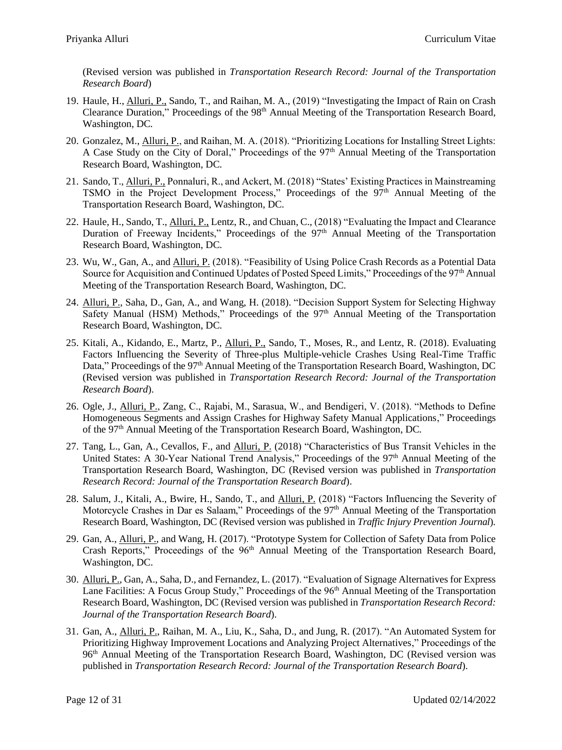(Revised version was published in *Transportation Research Record: Journal of the Transportation Research Board*)

- 19. Haule, H., Alluri, P., Sando, T., and Raihan, M. A., (2019) "Investigating the Impact of Rain on Crash Clearance Duration," Proceedings of the 98<sup>th</sup> Annual Meeting of the Transportation Research Board, Washington, DC*.*
- 20. Gonzalez, M., Alluri, P., and Raihan, M. A. (2018). "Prioritizing Locations for Installing Street Lights: A Case Study on the City of Doral," Proceedings of the 97<sup>th</sup> Annual Meeting of the Transportation Research Board, Washington, DC*.*
- 21. Sando, T., Alluri, P., Ponnaluri, R., and Ackert, M. (2018) "States' Existing Practices in Mainstreaming TSMO in the Project Development Process," Proceedings of the 97<sup>th</sup> Annual Meeting of the Transportation Research Board, Washington, DC*.*
- 22. Haule, H., Sando, T., Alluri, P., Lentz, R., and Chuan, C., (2018) "Evaluating the Impact and Clearance Duration of Freeway Incidents," Proceedings of the 97<sup>th</sup> Annual Meeting of the Transportation Research Board, Washington, DC*.*
- 23. Wu, W., Gan, A., and Alluri, P. (2018). "Feasibility of Using Police Crash Records as a Potential Data Source for Acquisition and Continued Updates of Posted Speed Limits," Proceedings of the 97<sup>th</sup> Annual Meeting of the Transportation Research Board, Washington, DC*.*
- 24. Alluri, P., Saha, D., Gan, A., and Wang, H. (2018). "Decision Support System for Selecting Highway Safety Manual (HSM) Methods," Proceedings of the 97<sup>th</sup> Annual Meeting of the Transportation Research Board, Washington, DC*.*
- 25. Kitali, A., Kidando, E., Martz, P., Alluri, P., Sando, T., Moses, R., and Lentz, R. (2018). Evaluating Factors Influencing the Severity of Three-plus Multiple-vehicle Crashes Using Real-Time Traffic Data," Proceedings of the 97<sup>th</sup> Annual Meeting of the Transportation Research Board, Washington, DC (Revised version was published in *Transportation Research Record: Journal of the Transportation Research Board*).
- 26. Ogle, J., Alluri, P., Zang, C., Rajabi, M., Sarasua, W., and Bendigeri, V. (2018). "Methods to Define Homogeneous Segments and Assign Crashes for Highway Safety Manual Applications," Proceedings of the 97th Annual Meeting of the Transportation Research Board, Washington, DC*.*
- 27. Tang, L., Gan, A., Cevallos, F., and Alluri, P. (2018) "Characteristics of Bus Transit Vehicles in the United States: A 30-Year National Trend Analysis," Proceedings of the 97<sup>th</sup> Annual Meeting of the Transportation Research Board, Washington, DC (Revised version was published in *Transportation Research Record: Journal of the Transportation Research Board*).
- 28. Salum, J., Kitali, A., Bwire, H., Sando, T., and Alluri, P. (2018) "Factors Influencing the Severity of Motorcycle Crashes in Dar es Salaam," Proceedings of the 97<sup>th</sup> Annual Meeting of the Transportation Research Board, Washington, DC (Revised version was published in *Traffic Injury Prevention Journal*)*.*
- 29. Gan, A., Alluri, P., and Wang, H. (2017). "Prototype System for Collection of Safety Data from Police Crash Reports," Proceedings of the 96<sup>th</sup> Annual Meeting of the Transportation Research Board, Washington, DC.
- 30. Alluri, P., Gan, A., Saha, D., and Fernandez, L. (2017). "Evaluation of Signage Alternatives for Express Lane Facilities: A Focus Group Study," Proceedings of the 96<sup>th</sup> Annual Meeting of the Transportation Research Board, Washington, DC (Revised version was published in *Transportation Research Record: Journal of the Transportation Research Board*).
- 31. Gan, A., Alluri, P., Raihan, M. A., Liu, K., Saha, D., and Jung, R. (2017). "An Automated System for Prioritizing Highway Improvement Locations and Analyzing Project Alternatives," Proceedings of the 96th Annual Meeting of the Transportation Research Board, Washington, DC (Revised version was published in *Transportation Research Record: Journal of the Transportation Research Board*).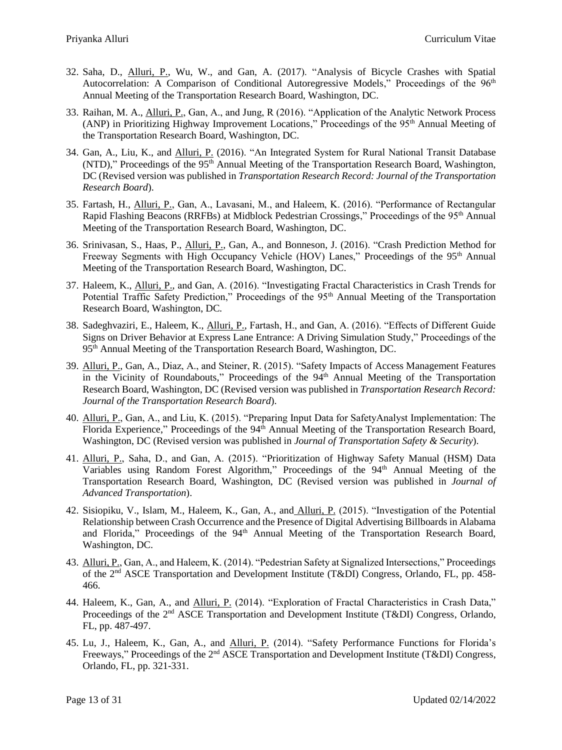- 32. Saha, D., Alluri, P., Wu, W., and Gan, A. (2017). "Analysis of Bicycle Crashes with Spatial Autocorrelation: A Comparison of Conditional Autoregressive Models," Proceedings of the 96<sup>th</sup> Annual Meeting of the Transportation Research Board, Washington, DC.
- 33. Raihan, M. A., Alluri, P., Gan, A., and Jung, R (2016). "Application of the Analytic Network Process (ANP) in Prioritizing Highway Improvement Locations," Proceedings of the 95<sup>th</sup> Annual Meeting of the Transportation Research Board, Washington, DC.
- 34. Gan, A., Liu, K., and Alluri, P. (2016). "An Integrated System for Rural National Transit Database  $(NTD)$ ," Proceedings of the 95<sup>th</sup> Annual Meeting of the Transportation Research Board, Washington, DC (Revised version was published in *Transportation Research Record: Journal of the Transportation Research Board*).
- 35. Fartash, H., Alluri, P., Gan, A., Lavasani, M., and Haleem, K. (2016). "Performance of Rectangular Rapid Flashing Beacons (RRFBs) at Midblock Pedestrian Crossings," Proceedings of the 95<sup>th</sup> Annual Meeting of the Transportation Research Board, Washington, DC.
- 36. Srinivasan, S., Haas, P., Alluri, P., Gan, A., and Bonneson, J. (2016). "Crash Prediction Method for Freeway Segments with High Occupancy Vehicle (HOV) Lanes," Proceedings of the 95<sup>th</sup> Annual Meeting of the Transportation Research Board, Washington, DC.
- 37. Haleem, K., Alluri, P., and Gan, A. (2016). "Investigating Fractal Characteristics in Crash Trends for Potential Traffic Safety Prediction," Proceedings of the 95<sup>th</sup> Annual Meeting of the Transportation Research Board, Washington, DC*.*
- 38. Sadeghvaziri, E., Haleem, K., Alluri, P., Fartash, H., and Gan, A. (2016). "Effects of Different Guide Signs on Driver Behavior at Express Lane Entrance: A Driving Simulation Study," Proceedings of the 95th Annual Meeting of the Transportation Research Board, Washington, DC.
- 39. Alluri, P., Gan, A., Diaz, A., and Steiner, R. (2015). "Safety Impacts of Access Management Features in the Vicinity of Roundabouts," Proceedings of the  $94<sup>th</sup>$  Annual Meeting of the Transportation Research Board, Washington, DC (Revised version was published in *Transportation Research Record: Journal of the Transportation Research Board*).
- 40. Alluri, P., Gan, A., and Liu, K. (2015). "Preparing Input Data for SafetyAnalyst Implementation: The Florida Experience," Proceedings of the 94<sup>th</sup> Annual Meeting of the Transportation Research Board, Washington, DC (Revised version was published in *Journal of Transportation Safety & Security*).
- 41. Alluri, P., Saha, D., and Gan, A. (2015). "Prioritization of Highway Safety Manual (HSM) Data Variables using Random Forest Algorithm," Proceedings of the 94<sup>th</sup> Annual Meeting of the Transportation Research Board, Washington, DC (Revised version was published in *Journal of Advanced Transportation*).
- 42. Sisiopiku, V., Islam, M., Haleem, K., Gan, A., and Alluri, P. (2015). "Investigation of the Potential Relationship between Crash Occurrence and the Presence of Digital Advertising Billboards in Alabama and Florida," Proceedings of the 94<sup>th</sup> Annual Meeting of the Transportation Research Board, Washington, DC.
- 43. Alluri, P., Gan, A., and Haleem, K. (2014). "Pedestrian Safety at Signalized Intersections," Proceedings of the 2<sup>nd</sup> ASCE Transportation and Development Institute (T&DI) Congress, Orlando, FL, pp. 458-466.
- 44. Haleem, K., Gan, A., and Alluri, P. (2014). "Exploration of Fractal Characteristics in Crash Data," Proceedings of the 2<sup>nd</sup> ASCE Transportation and Development Institute (T&DI) Congress, Orlando, FL, pp. 487-497.
- 45. Lu, J., Haleem, K., Gan, A., and Alluri, P. (2014). "Safety Performance Functions for Florida's Freeways," Proceedings of the 2<sup>nd</sup> ASCE Transportation and Development Institute (T&DI) Congress, Orlando, FL, pp. 321-331.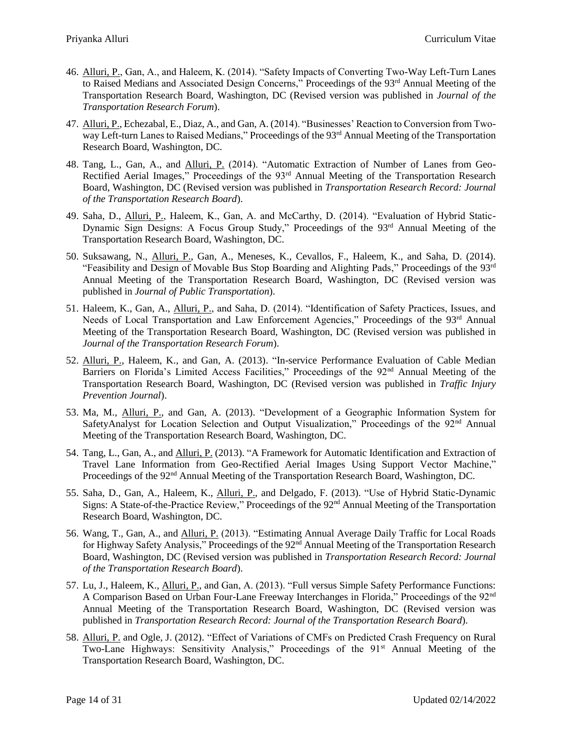- 46. Alluri, P., Gan, A., and Haleem, K. (2014). "Safety Impacts of Converting Two-Way Left-Turn Lanes to Raised Medians and Associated Design Concerns," Proceedings of the 93<sup>rd</sup> Annual Meeting of the Transportation Research Board, Washington, DC (Revised version was published in *Journal of the Transportation Research Forum*).
- 47. Alluri, P., Echezabal, E., Diaz, A., and Gan, A. (2014). "Businesses' Reaction to Conversion from Twoway Left-turn Lanes to Raised Medians," Proceedings of the 93<sup>rd</sup> Annual Meeting of the Transportation Research Board, Washington, DC.
- 48. Tang, L., Gan, A., and Alluri, P. (2014). "Automatic Extraction of Number of Lanes from Geo-Rectified Aerial Images," Proceedings of the 93<sup>rd</sup> Annual Meeting of the Transportation Research Board, Washington, DC (Revised version was published in *Transportation Research Record: Journal of the Transportation Research Board*).
- 49. Saha, D., Alluri, P., Haleem, K., Gan, A. and McCarthy, D. (2014). "Evaluation of Hybrid Static-Dynamic Sign Designs: A Focus Group Study," Proceedings of the 93rd Annual Meeting of the Transportation Research Board, Washington, DC.
- 50. Suksawang, N., Alluri, P., Gan, A., Meneses, K., Cevallos, F., Haleem, K., and Saha, D. (2014). "Feasibility and Design of Movable Bus Stop Boarding and Alighting Pads," Proceedings of the  $93<sup>rd</sup>$ Annual Meeting of the Transportation Research Board, Washington, DC (Revised version was published in *Journal of Public Transportation*).
- 51. Haleem, K., Gan, A., Alluri, P., and Saha, D. (2014). "Identification of Safety Practices, Issues, and Needs of Local Transportation and Law Enforcement Agencies," Proceedings of the 93<sup>rd</sup> Annual Meeting of the Transportation Research Board, Washington, DC (Revised version was published in *Journal of the Transportation Research Forum*).
- 52. Alluri, P., Haleem, K., and Gan, A. (2013). "In-service Performance Evaluation of Cable Median Barriers on Florida's Limited Access Facilities," Proceedings of the 92<sup>nd</sup> Annual Meeting of the Transportation Research Board, Washington, DC (Revised version was published in *Traffic Injury Prevention Journal*).
- 53. Ma, M., Alluri, P., and Gan, A. (2013). "Development of a Geographic Information System for SafetyAnalyst for Location Selection and Output Visualization," Proceedings of the 92<sup>nd</sup> Annual Meeting of the Transportation Research Board, Washington, DC.
- 54. Tang, L., Gan, A., and Alluri, P. (2013). "A Framework for Automatic Identification and Extraction of Travel Lane Information from Geo-Rectified Aerial Images Using Support Vector Machine," Proceedings of the 92<sup>nd</sup> Annual Meeting of the Transportation Research Board, Washington, DC.
- 55. Saha, D., Gan, A., Haleem, K., Alluri, P., and Delgado, F. (2013). "Use of Hybrid Static-Dynamic Signs: A State-of-the-Practice Review," Proceedings of the 92<sup>nd</sup> Annual Meeting of the Transportation Research Board, Washington, DC.
- 56. Wang, T., Gan, A., and Alluri, P. (2013). "Estimating Annual Average Daily Traffic for Local Roads for Highway Safety Analysis," Proceedings of the 92<sup>nd</sup> Annual Meeting of the Transportation Research Board, Washington, DC (Revised version was published in *Transportation Research Record: Journal of the Transportation Research Board*).
- 57. Lu, J., Haleem, K., Alluri, P., and Gan, A. (2013). "Full versus Simple Safety Performance Functions: A Comparison Based on Urban Four-Lane Freeway Interchanges in Florida," Proceedings of the 92nd Annual Meeting of the Transportation Research Board, Washington, DC (Revised version was published in *Transportation Research Record: Journal of the Transportation Research Board*).
- 58. Alluri, P. and Ogle, J. (2012). "Effect of Variations of CMFs on Predicted Crash Frequency on Rural Two-Lane Highways: Sensitivity Analysis," Proceedings of the 91<sup>st</sup> Annual Meeting of the Transportation Research Board, Washington, DC.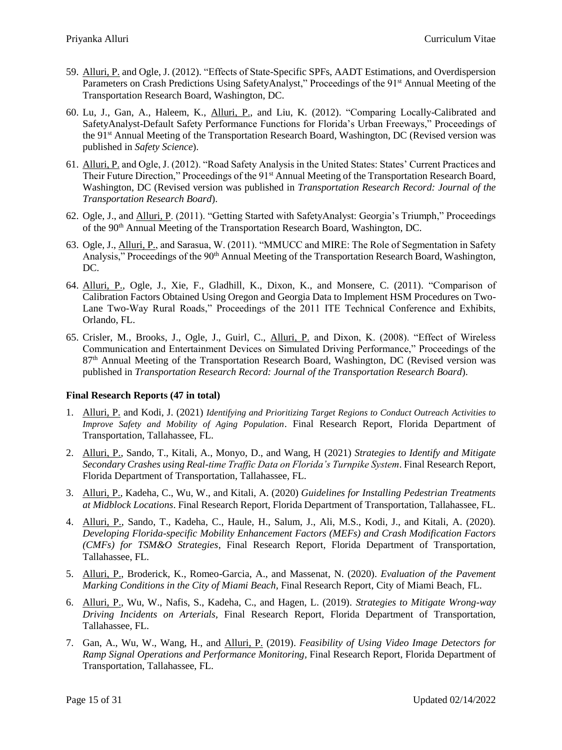- 59. Alluri, P. and Ogle, J. (2012). "Effects of State-Specific SPFs, AADT Estimations, and Overdispersion Parameters on Crash Predictions Using SafetyAnalyst," Proceedings of the 91<sup>st</sup> Annual Meeting of the Transportation Research Board, Washington, DC.
- 60. Lu, J., Gan, A., Haleem, K., Alluri, P., and Liu, K. (2012). "Comparing Locally-Calibrated and SafetyAnalyst-Default Safety Performance Functions for Florida's Urban Freeways," Proceedings of the 91st Annual Meeting of the Transportation Research Board, Washington, DC (Revised version was published in *Safety Science*).
- 61. Alluri, P. and Ogle, J. (2012). "Road Safety Analysis in the United States: States' Current Practices and Their Future Direction," Proceedings of the 91<sup>st</sup> Annual Meeting of the Transportation Research Board, Washington, DC (Revised version was published in *Transportation Research Record: Journal of the Transportation Research Board*).
- 62. Ogle, J., and Alluri, P. (2011). "Getting Started with SafetyAnalyst: Georgia's Triumph," Proceedings of the 90th Annual Meeting of the Transportation Research Board, Washington, DC.
- 63. Ogle, J., Alluri, P., and Sarasua, W. (2011). "MMUCC and MIRE: The Role of Segmentation in Safety Analysis," Proceedings of the 90<sup>th</sup> Annual Meeting of the Transportation Research Board, Washington, DC.
- 64. Alluri, P., Ogle, J., Xie, F., Gladhill, K., Dixon, K., and Monsere, C. (2011). "Comparison of Calibration Factors Obtained Using Oregon and Georgia Data to Implement HSM Procedures on Two-Lane Two-Way Rural Roads," Proceedings of the 2011 ITE Technical Conference and Exhibits, Orlando, FL.
- 65. Crisler, M., Brooks, J., Ogle, J., Guirl, C., Alluri, P. and Dixon, K. (2008). "Effect of Wireless Communication and Entertainment Devices on Simulated Driving Performance," Proceedings of the 87<sup>th</sup> Annual Meeting of the Transportation Research Board, Washington, DC (Revised version was published in *Transportation Research Record: Journal of the Transportation Research Board*).

## **Final Research Reports (47 in total)**

- 1. Alluri, P. and Kodi, J. (2021) *Identifying and Prioritizing Target Regions to Conduct Outreach Activities to Improve Safety and Mobility of Aging Population*. Final Research Report, Florida Department of Transportation, Tallahassee, FL.
- 2. Alluri, P., Sando, T., Kitali, A., Monyo, D., and Wang, H (2021) *Strategies to Identify and Mitigate Secondary Crashes using Real-time Traffic Data on Florida's Turnpike System*. Final Research Report, Florida Department of Transportation, Tallahassee, FL.
- 3. Alluri, P., Kadeha, C., Wu, W., and Kitali, A. (2020) *Guidelines for Installing Pedestrian Treatments at Midblock Locations*. Final Research Report, Florida Department of Transportation, Tallahassee, FL.
- 4. Alluri, P., Sando, T., Kadeha, C., Haule, H., Salum, J., Ali, M.S., Kodi, J., and Kitali, A. (2020). *Developing Florida-specific Mobility Enhancement Factors (MEFs) and Crash Modification Factors (CMFs) for TSM&O Strategies*, Final Research Report, Florida Department of Transportation, Tallahassee, FL.
- 5. Alluri, P., Broderick, K., Romeo-Garcia, A., and Massenat, N. (2020). *Evaluation of the Pavement Marking Conditions in the City of Miami Beach,* Final Research Report, City of Miami Beach*,* FL.
- 6. Alluri, P., Wu, W., Nafis, S., Kadeha, C., and Hagen, L. (2019). *Strategies to Mitigate Wrong-way Driving Incidents on Arterials,* Final Research Report, Florida Department of Transportation, Tallahassee, FL.
- 7. Gan, A., Wu, W., Wang, H., and Alluri, P. (2019). *Feasibility of Using Video Image Detectors for Ramp Signal Operations and Performance Monitoring,* Final Research Report, Florida Department of Transportation, Tallahassee, FL.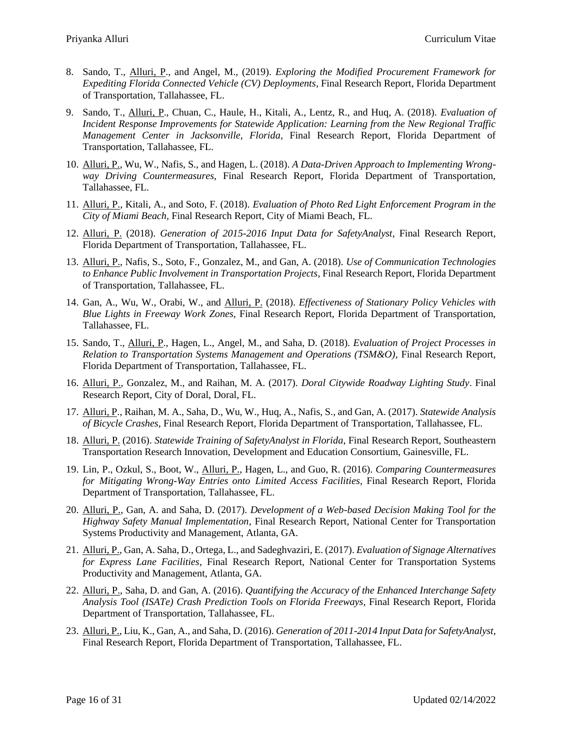- 8. Sando, T., Alluri, P., and Angel, M., (2019). *Exploring the Modified Procurement Framework for Expediting Florida Connected Vehicle (CV) Deployments,* Final Research Report, Florida Department of Transportation, Tallahassee, FL.
- 9. Sando, T., Alluri, P., Chuan, C., Haule, H., Kitali, A., Lentz, R., and Huq, A. (2018). *Evaluation of Incident Response Improvements for Statewide Application: Learning from the New Regional Traffic Management Center in Jacksonville, Florida,* Final Research Report, Florida Department of Transportation, Tallahassee, FL.
- 10. Alluri, P., Wu, W., Nafis, S., and Hagen, L. (2018). *A Data-Driven Approach to Implementing Wrongway Driving Countermeasures,* Final Research Report, Florida Department of Transportation, Tallahassee, FL.
- 11. Alluri, P., Kitali, A., and Soto, F. (2018). *Evaluation of Photo Red Light Enforcement Program in the City of Miami Beach,* Final Research Report, City of Miami Beach*,* FL.
- 12. Alluri, P. (2018). *Generation of 2015-2016 Input Data for SafetyAnalyst,* Final Research Report, Florida Department of Transportation, Tallahassee, FL.
- 13. Alluri, P., Nafis, S., Soto, F., Gonzalez, M., and Gan, A. (2018). *Use of Communication Technologies to Enhance Public Involvement in Transportation Projects,* Final Research Report, Florida Department of Transportation, Tallahassee, FL.
- 14. Gan, A., Wu, W., Orabi, W., and Alluri, P. (2018). *Effectiveness of Stationary Policy Vehicles with Blue Lights in Freeway Work Zones,* Final Research Report, Florida Department of Transportation, Tallahassee, FL.
- 15. Sando, T., Alluri, P., Hagen, L., Angel, M., and Saha, D. (2018). *Evaluation of Project Processes in Relation to Transportation Systems Management and Operations (TSM&O),* Final Research Report, Florida Department of Transportation, Tallahassee, FL.
- 16. Alluri, P., Gonzalez, M., and Raihan, M. A. (2017). *Doral Citywide Roadway Lighting Study*. Final Research Report, City of Doral, Doral, FL.
- 17. Alluri, P., Raihan, M. A., Saha, D., Wu, W., Huq, A., Nafis, S., and Gan, A. (2017). *Statewide Analysis of Bicycle Crashes*, Final Research Report, Florida Department of Transportation, Tallahassee, FL.
- 18. Alluri, P. (2016). *Statewide Training of SafetyAnalyst in Florida*, Final Research Report, Southeastern Transportation Research Innovation, Development and Education Consortium, Gainesville, FL.
- 19. Lin, P., Ozkul, S., Boot, W., Alluri, P., Hagen, L., and Guo, R. (2016). *Comparing Countermeasures for Mitigating Wrong-Way Entries onto Limited Access Facilities,* Final Research Report, Florida Department of Transportation, Tallahassee, FL.
- 20. Alluri, P., Gan, A. and Saha, D. (2017). *Development of a Web-based Decision Making Tool for the Highway Safety Manual Implementation*, Final Research Report, National Center for Transportation Systems Productivity and Management, Atlanta, GA.
- 21. Alluri, P., Gan, A. Saha, D., Ortega, L., and Sadeghvaziri, E. (2017). *Evaluation of Signage Alternatives for Express Lane Facilities*, Final Research Report, National Center for Transportation Systems Productivity and Management, Atlanta, GA.
- 22. Alluri, P., Saha, D. and Gan, A. (2016). *Quantifying the Accuracy of the Enhanced Interchange Safety Analysis Tool (ISATe) Crash Prediction Tools on Florida Freeways,* Final Research Report, Florida Department of Transportation, Tallahassee, FL.
- 23. Alluri, P., Liu, K., Gan, A., and Saha, D. (2016). *Generation of 2011-2014 Input Data for SafetyAnalyst,*  Final Research Report, Florida Department of Transportation, Tallahassee, FL.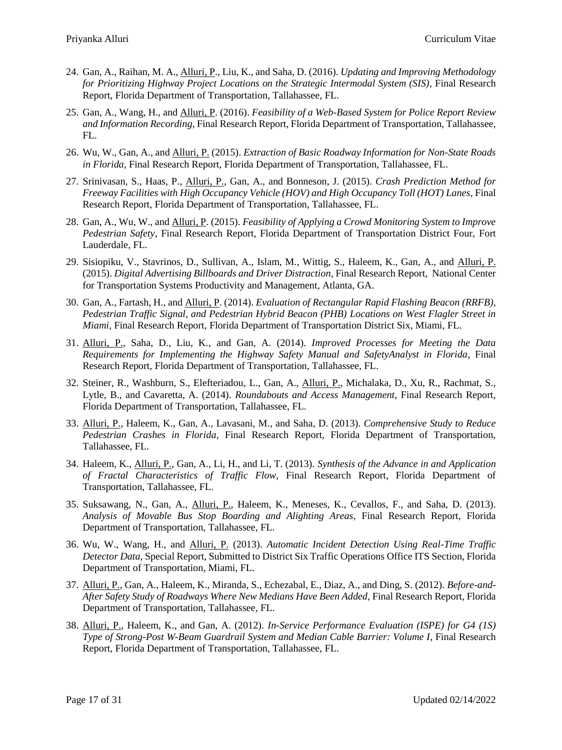- 24. Gan, A., Raihan, M. A., Alluri, P., Liu, K., and Saha, D. (2016). *Updating and Improving Methodology for Prioritizing Highway Project Locations on the Strategic Intermodal System (SIS)*, Final Research Report, Florida Department of Transportation, Tallahassee, FL.
- 25. Gan, A., Wang, H., and Alluri, P. (2016). *Feasibility of a Web-Based System for Police Report Review and Information Recording*, Final Research Report, Florida Department of Transportation, Tallahassee, FL.
- 26. Wu, W., Gan, A., and Alluri, P. (2015). *Extraction of Basic Roadway Information for Non-State Roads in Florida,* Final Research Report, Florida Department of Transportation, Tallahassee, FL.
- 27. Srinivasan, S., Haas, P., Alluri, P., Gan, A., and Bonneson, J. (2015). *Crash Prediction Method for Freeway Facilities with High Occupancy Vehicle (HOV) and High Occupancy Toll (HOT) Lanes,* Final Research Report, Florida Department of Transportation, Tallahassee, FL.
- 28. Gan, A., Wu, W., and Alluri, P. (2015). *Feasibility of Applying a Crowd Monitoring System to Improve Pedestrian Safety*, Final Research Report, Florida Department of Transportation District Four, Fort Lauderdale, FL.
- 29. Sisiopiku, V., Stavrinos, D., Sullivan, A., Islam, M., Wittig, S., Haleem, K., Gan, A., and Alluri, P. (2015). *Digital Advertising Billboards and Driver Distraction*, Final Research Report, National Center for Transportation Systems Productivity and Management, Atlanta, GA.
- 30. Gan, A., Fartash, H., and Alluri, P. (2014). *Evaluation of Rectangular Rapid Flashing Beacon (RRFB), Pedestrian Traffic Signal, and Pedestrian Hybrid Beacon (PHB) Locations on West Flagler Street in Miami*, Final Research Report, Florida Department of Transportation District Six, Miami, FL.
- 31. Alluri, P., Saha, D., Liu, K., and Gan, A. (2014). *Improved Processes for Meeting the Data Requirements for Implementing the Highway Safety Manual and SafetyAnalyst in Florida,* Final Research Report, Florida Department of Transportation, Tallahassee, FL.
- 32. Steiner, R., Washburn, S., Elefteriadou, L., Gan, A., Alluri, P., Michalaka, D., Xu, R., Rachmat, S., Lytle, B., and Cavaretta, A. (2014). *Roundabouts and Access Management*, Final Research Report, Florida Department of Transportation, Tallahassee, FL.
- 33. Alluri, P., Haleem, K., Gan, A., Lavasani, M., and Saha, D. (2013). *Comprehensive Study to Reduce Pedestrian Crashes in Florida,* Final Research Report, Florida Department of Transportation, Tallahassee, FL.
- 34. Haleem, K., Alluri, P., Gan, A., Li, H., and Li, T. (2013). *Synthesis of the Advance in and Application of Fractal Characteristics of Traffic Flow,* Final Research Report, Florida Department of Transportation, Tallahassee, FL.
- 35. Suksawang, N., Gan, A., Alluri, P., Haleem, K., Meneses, K., Cevallos, F., and Saha, D. (2013). *Analysis of Movable Bus Stop Boarding and Alighting Areas,* Final Research Report, Florida Department of Transportation, Tallahassee, FL.
- 36. Wu, W., Wang, H., and Alluri, P. (2013). *Automatic Incident Detection Using Real-Time Traffic Detector Data*, Special Report, Submitted to District Six Traffic Operations Office ITS Section, Florida Department of Transportation, Miami, FL.
- 37. Alluri, P., Gan, A., Haleem, K., Miranda, S., Echezabal, E., Diaz, A., and Ding, S. (2012). *Before-and-After Safety Study of Roadways Where New Medians Have Been Added,* Final Research Report, Florida Department of Transportation, Tallahassee, FL.
- 38. Alluri, P., Haleem, K., and Gan, A. (2012). *In-Service Performance Evaluation (ISPE) for G4 (1S) Type of Strong-Post W-Beam Guardrail System and Median Cable Barrier: Volume I*, Final Research Report, Florida Department of Transportation, Tallahassee, FL.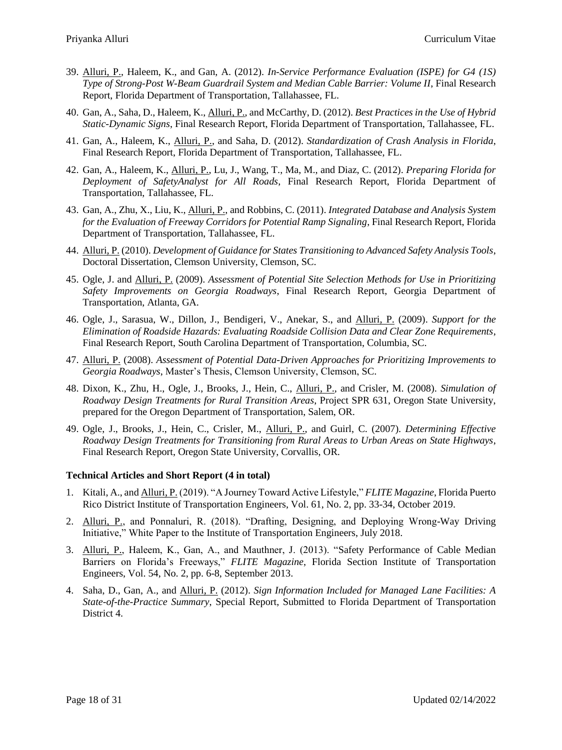- 39. Alluri, P., Haleem, K., and Gan, A. (2012). *In-Service Performance Evaluation (ISPE) for G4 (1S) Type of Strong-Post W-Beam Guardrail System and Median Cable Barrier: Volume II*, Final Research Report, Florida Department of Transportation, Tallahassee, FL.
- 40. Gan, A., Saha, D., Haleem, K., Alluri, P., and McCarthy, D. (2012). *Best Practices in the Use of Hybrid Static-Dynamic Signs*, Final Research Report, Florida Department of Transportation, Tallahassee, FL.
- 41. Gan, A., Haleem, K., Alluri, P., and Saha, D. (2012). *Standardization of Crash Analysis in Florida*, Final Research Report, Florida Department of Transportation, Tallahassee, FL.
- 42. Gan, A., Haleem, K., Alluri, P., Lu, J., Wang, T., Ma, M., and Diaz, C. (2012). *Preparing Florida for Deployment of SafetyAnalyst for All Roads*, Final Research Report, Florida Department of Transportation, Tallahassee, FL.
- 43. Gan, A., Zhu, X., Liu, K., Alluri, P., and Robbins, C. (2011). *Integrated Database and Analysis System for the Evaluation of Freeway Corridors for Potential Ramp Signaling*, Final Research Report, Florida Department of Transportation, Tallahassee, FL.
- 44. Alluri, P. (2010). *Development of Guidance for States Transitioning to Advanced Safety Analysis Tools*, Doctoral Dissertation, Clemson University, Clemson, SC.
- 45. Ogle, J. and Alluri, P. (2009). *Assessment of Potential Site Selection Methods for Use in Prioritizing Safety Improvements on Georgia Roadways*, Final Research Report, Georgia Department of Transportation, Atlanta, GA.
- 46. Ogle, J., Sarasua, W., Dillon, J., Bendigeri, V., Anekar, S., and Alluri, P. (2009). *Support for the Elimination of Roadside Hazards: Evaluating Roadside Collision Data and Clear Zone Requirements*, Final Research Report, South Carolina Department of Transportation, Columbia, SC.
- 47. Alluri, P. (2008). *Assessment of Potential Data-Driven Approaches for Prioritizing Improvements to Georgia Roadways*, Master's Thesis, Clemson University, Clemson, SC.
- 48. Dixon, K., Zhu, H., Ogle, J., Brooks, J., Hein, C., Alluri, P., and Crisler, M. (2008). *Simulation of Roadway Design Treatments for Rural Transition Areas*, Project SPR 631, Oregon State University, prepared for the Oregon Department of Transportation, Salem, OR.
- 49. Ogle, J., Brooks, J., Hein, C., Crisler, M., Alluri, P., and Guirl, C. (2007). *Determining Effective Roadway Design Treatments for Transitioning from Rural Areas to Urban Areas on State Highways*, Final Research Report, Oregon State University, Corvallis, OR.

#### **Technical Articles and Short Report (4 in total)**

- 1. Kitali, A., and Alluri, P. (2019). "A Journey Toward Active Lifestyle," *FLITE Magazine*, Florida Puerto Rico District Institute of Transportation Engineers, Vol. 61, No. 2, pp. 33-34, October 2019.
- 2. Alluri, P., and Ponnaluri, R. (2018). "Drafting, Designing, and Deploying Wrong-Way Driving Initiative," White Paper to the Institute of Transportation Engineers, July 2018.
- 3. Alluri, P., Haleem, K., Gan, A., and Mauthner, J. (2013). "Safety Performance of Cable Median Barriers on Florida's Freeways," *FLITE Magazine*, Florida Section Institute of Transportation Engineers, Vol. 54, No. 2, pp. 6-8, September 2013.
- 4. Saha, D., Gan, A., and Alluri, P. (2012). *Sign Information Included for Managed Lane Facilities: A State-of-the-Practice Summary*, Special Report, Submitted to Florida Department of Transportation District 4.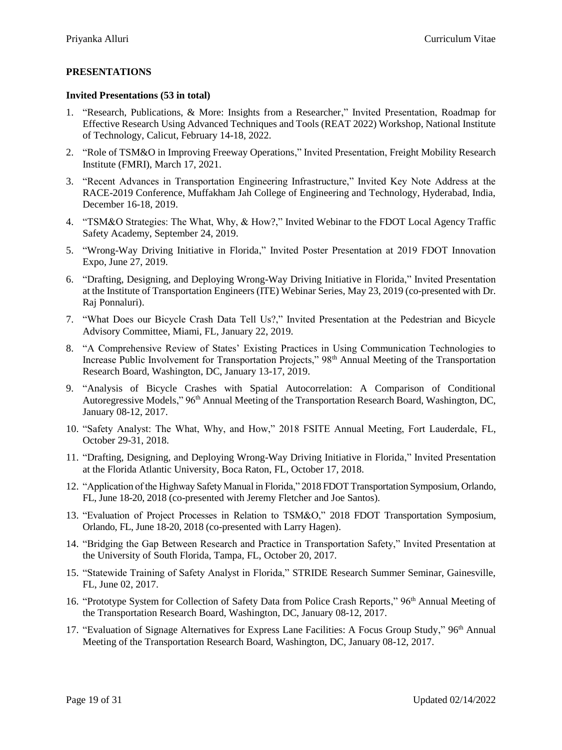## **PRESENTATIONS**

#### **Invited Presentations (53 in total)**

- 1. "Research, Publications, & More: Insights from a Researcher," Invited Presentation, Roadmap for Effective Research Using Advanced Techniques and Tools (REAT 2022) Workshop, National Institute of Technology, Calicut, February 14-18, 2022.
- 2. "Role of TSM&O in Improving Freeway Operations," Invited Presentation, Freight Mobility Research Institute (FMRI), March 17, 2021.
- 3. "Recent Advances in Transportation Engineering Infrastructure," Invited Key Note Address at the RACE-2019 Conference, Muffakham Jah College of Engineering and Technology, Hyderabad, India, December 16-18, 2019.
- 4. "TSM&O Strategies: The What, Why, & How?," Invited Webinar to the FDOT Local Agency Traffic Safety Academy, September 24, 2019.
- 5. "Wrong-Way Driving Initiative in Florida," Invited Poster Presentation at 2019 FDOT Innovation Expo, June 27, 2019.
- 6. "Drafting, Designing, and Deploying Wrong-Way Driving Initiative in Florida," Invited Presentation at the Institute of Transportation Engineers (ITE) Webinar Series, May 23, 2019 (co-presented with Dr. Raj Ponnaluri).
- 7. "What Does our Bicycle Crash Data Tell Us?," Invited Presentation at the Pedestrian and Bicycle Advisory Committee, Miami, FL, January 22, 2019.
- 8. "A Comprehensive Review of States' Existing Practices in Using Communication Technologies to Increase Public Involvement for Transportation Projects," 98<sup>th</sup> Annual Meeting of the Transportation Research Board, Washington, DC, January 13-17, 2019.
- 9. "Analysis of Bicycle Crashes with Spatial Autocorrelation: A Comparison of Conditional Autoregressive Models," 96<sup>th</sup> Annual Meeting of the Transportation Research Board, Washington, DC, January 08-12, 2017.
- 10. "Safety Analyst: The What, Why, and How," 2018 FSITE Annual Meeting, Fort Lauderdale, FL, October 29-31, 2018.
- 11. "Drafting, Designing, and Deploying Wrong-Way Driving Initiative in Florida," Invited Presentation at the Florida Atlantic University, Boca Raton, FL, October 17, 2018.
- 12. "Application of the Highway Safety Manual in Florida," 2018 FDOT Transportation Symposium, Orlando, FL, June 18-20, 2018 (co-presented with Jeremy Fletcher and Joe Santos).
- 13. "Evaluation of Project Processes in Relation to TSM&O," 2018 FDOT Transportation Symposium, Orlando, FL, June 18-20, 2018 (co-presented with Larry Hagen).
- 14. "Bridging the Gap Between Research and Practice in Transportation Safety," Invited Presentation at the University of South Florida, Tampa, FL, October 20, 2017.
- 15. "Statewide Training of Safety Analyst in Florida," STRIDE Research Summer Seminar, Gainesville, FL, June 02, 2017.
- 16. "Prototype System for Collection of Safety Data from Police Crash Reports," 96<sup>th</sup> Annual Meeting of the Transportation Research Board, Washington, DC, January 08-12, 2017.
- 17. "Evaluation of Signage Alternatives for Express Lane Facilities: A Focus Group Study," 96th Annual Meeting of the Transportation Research Board, Washington, DC, January 08-12, 2017.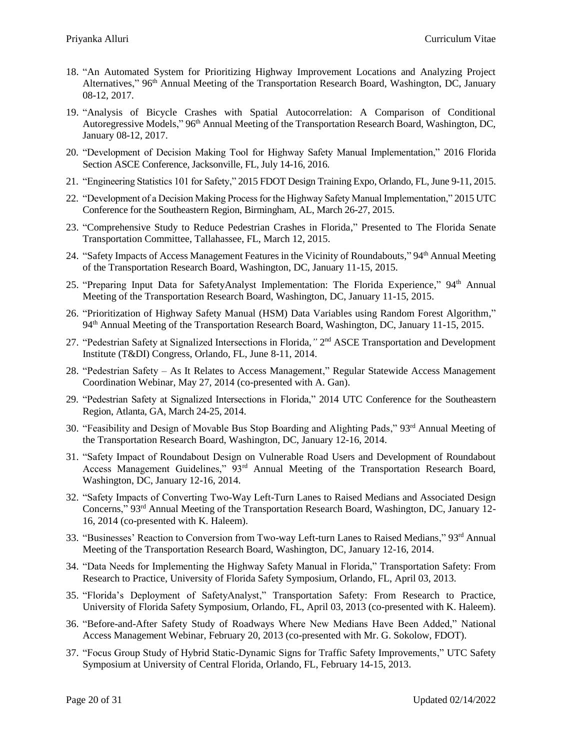- 18. "An Automated System for Prioritizing Highway Improvement Locations and Analyzing Project Alternatives," 96<sup>th</sup> Annual Meeting of the Transportation Research Board, Washington, DC, January 08-12, 2017.
- 19. "Analysis of Bicycle Crashes with Spatial Autocorrelation: A Comparison of Conditional Autoregressive Models," 96<sup>th</sup> Annual Meeting of the Transportation Research Board, Washington, DC, January 08-12, 2017.
- 20. "Development of Decision Making Tool for Highway Safety Manual Implementation," 2016 Florida Section ASCE Conference, Jacksonville, FL, July 14-16, 2016.
- 21. "Engineering Statistics 101 for Safety," 2015 FDOT Design Training Expo, Orlando, FL, June 9-11, 2015.
- 22. "Development of a Decision Making Process for the Highway Safety Manual Implementation," 2015 UTC Conference for the Southeastern Region, Birmingham, AL, March 26-27, 2015.
- 23. "Comprehensive Study to Reduce Pedestrian Crashes in Florida," Presented to The Florida Senate Transportation Committee, Tallahassee, FL, March 12, 2015.
- 24. "Safety Impacts of Access Management Features in the Vicinity of Roundabouts," 94th Annual Meeting of the Transportation Research Board, Washington, DC, January 11-15, 2015.
- 25. "Preparing Input Data for SafetyAnalyst Implementation: The Florida Experience," 94<sup>th</sup> Annual Meeting of the Transportation Research Board, Washington, DC, January 11-15, 2015.
- 26. "Prioritization of Highway Safety Manual (HSM) Data Variables using Random Forest Algorithm," 94th Annual Meeting of the Transportation Research Board, Washington, DC, January 11-15, 2015.
- 27. "Pedestrian Safety at Signalized Intersections in Florida," 2<sup>nd</sup> ASCE Transportation and Development Institute (T&DI) Congress, Orlando, FL, June 8-11, 2014.
- 28. "Pedestrian Safety As It Relates to Access Management," Regular Statewide Access Management Coordination Webinar, May 27, 2014 (co-presented with A. Gan).
- 29. "Pedestrian Safety at Signalized Intersections in Florida," 2014 UTC Conference for the Southeastern Region, Atlanta, GA, March 24-25, 2014.
- 30. "Feasibility and Design of Movable Bus Stop Boarding and Alighting Pads," 93rd Annual Meeting of the Transportation Research Board, Washington, DC, January 12-16, 2014.
- 31. "Safety Impact of Roundabout Design on Vulnerable Road Users and Development of Roundabout Access Management Guidelines," 93<sup>rd</sup> Annual Meeting of the Transportation Research Board, Washington, DC, January 12-16, 2014.
- 32. "Safety Impacts of Converting Two-Way Left-Turn Lanes to Raised Medians and Associated Design Concerns," 93rd Annual Meeting of the Transportation Research Board, Washington, DC, January 12- 16, 2014 (co-presented with K. Haleem).
- 33. "Businesses' Reaction to Conversion from Two-way Left-turn Lanes to Raised Medians," 93rd Annual Meeting of the Transportation Research Board, Washington, DC, January 12-16, 2014.
- 34. "Data Needs for Implementing the Highway Safety Manual in Florida," Transportation Safety: From Research to Practice, University of Florida Safety Symposium, Orlando, FL, April 03, 2013.
- 35. "Florida's Deployment of SafetyAnalyst," Transportation Safety: From Research to Practice, University of Florida Safety Symposium, Orlando, FL, April 03, 2013 (co-presented with K. Haleem).
- 36. "Before-and-After Safety Study of Roadways Where New Medians Have Been Added," National Access Management Webinar, February 20, 2013 (co-presented with Mr. G. Sokolow, FDOT).
- 37. "Focus Group Study of Hybrid Static-Dynamic Signs for Traffic Safety Improvements," UTC Safety Symposium at University of Central Florida, Orlando, FL, February 14-15, 2013.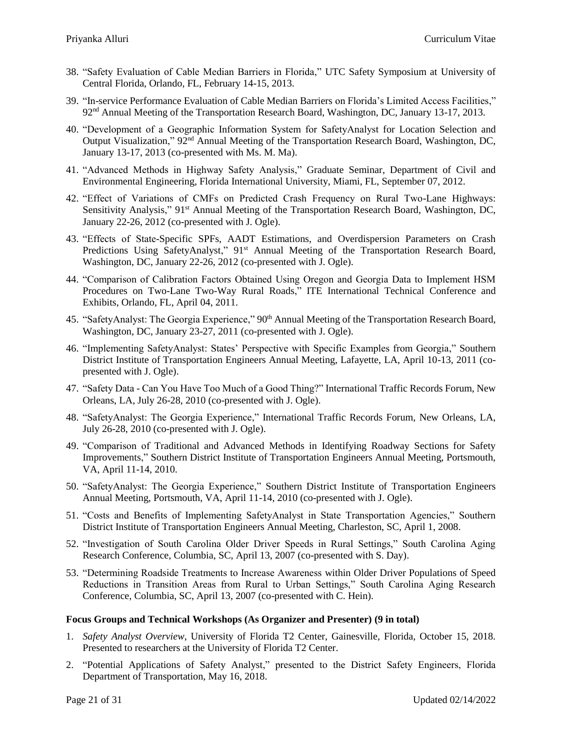- 38. "Safety Evaluation of Cable Median Barriers in Florida," UTC Safety Symposium at University of Central Florida, Orlando, FL, February 14-15, 2013.
- 39. "In-service Performance Evaluation of Cable Median Barriers on Florida's Limited Access Facilities," 92nd Annual Meeting of the Transportation Research Board, Washington, DC, January 13-17, 2013.
- 40. "Development of a Geographic Information System for SafetyAnalyst for Location Selection and Output Visualization," 92nd Annual Meeting of the Transportation Research Board, Washington, DC, January 13-17, 2013 (co-presented with Ms. M. Ma).
- 41. "Advanced Methods in Highway Safety Analysis," Graduate Seminar, Department of Civil and Environmental Engineering, Florida International University, Miami, FL, September 07, 2012.
- 42. "Effect of Variations of CMFs on Predicted Crash Frequency on Rural Two-Lane Highways: Sensitivity Analysis," 91<sup>st</sup> Annual Meeting of the Transportation Research Board, Washington, DC, January 22-26, 2012 (co-presented with J. Ogle).
- 43. "Effects of State-Specific SPFs, AADT Estimations, and Overdispersion Parameters on Crash Predictions Using SafetyAnalyst," 91<sup>st</sup> Annual Meeting of the Transportation Research Board, Washington, DC, January 22-26, 2012 (co-presented with J. Ogle).
- 44. "Comparison of Calibration Factors Obtained Using Oregon and Georgia Data to Implement HSM Procedures on Two-Lane Two-Way Rural Roads," ITE International Technical Conference and Exhibits, Orlando, FL, April 04, 2011.
- 45. "SafetyAnalyst: The Georgia Experience," 90<sup>th</sup> Annual Meeting of the Transportation Research Board, Washington, DC, January 23-27, 2011 (co-presented with J. Ogle).
- 46. "Implementing SafetyAnalyst: States' Perspective with Specific Examples from Georgia," Southern District Institute of Transportation Engineers Annual Meeting, Lafayette, LA, April 10-13, 2011 (copresented with J. Ogle).
- 47. "Safety Data Can You Have Too Much of a Good Thing?" International Traffic Records Forum, New Orleans, LA, July 26-28, 2010 (co-presented with J. Ogle).
- 48. "SafetyAnalyst: The Georgia Experience," International Traffic Records Forum, New Orleans, LA, July 26-28, 2010 (co-presented with J. Ogle).
- 49. "Comparison of Traditional and Advanced Methods in Identifying Roadway Sections for Safety Improvements," Southern District Institute of Transportation Engineers Annual Meeting, Portsmouth, VA, April 11-14, 2010.
- 50. "SafetyAnalyst: The Georgia Experience," Southern District Institute of Transportation Engineers Annual Meeting, Portsmouth, VA, April 11-14, 2010 (co-presented with J. Ogle).
- 51. "Costs and Benefits of Implementing SafetyAnalyst in State Transportation Agencies," Southern District Institute of Transportation Engineers Annual Meeting, Charleston, SC, April 1, 2008.
- 52. "Investigation of South Carolina Older Driver Speeds in Rural Settings," South Carolina Aging Research Conference, Columbia, SC, April 13, 2007 (co-presented with S. Day).
- 53. "Determining Roadside Treatments to Increase Awareness within Older Driver Populations of Speed Reductions in Transition Areas from Rural to Urban Settings," South Carolina Aging Research Conference, Columbia, SC, April 13, 2007 (co-presented with C. Hein).

#### **Focus Groups and Technical Workshops (As Organizer and Presenter) (9 in total)**

- 1. *Safety Analyst Overview*, University of Florida T2 Center, Gainesville, Florida, October 15, 2018. Presented to researchers at the University of Florida T2 Center.
- 2. "Potential Applications of Safety Analyst," presented to the District Safety Engineers, Florida Department of Transportation, May 16, 2018.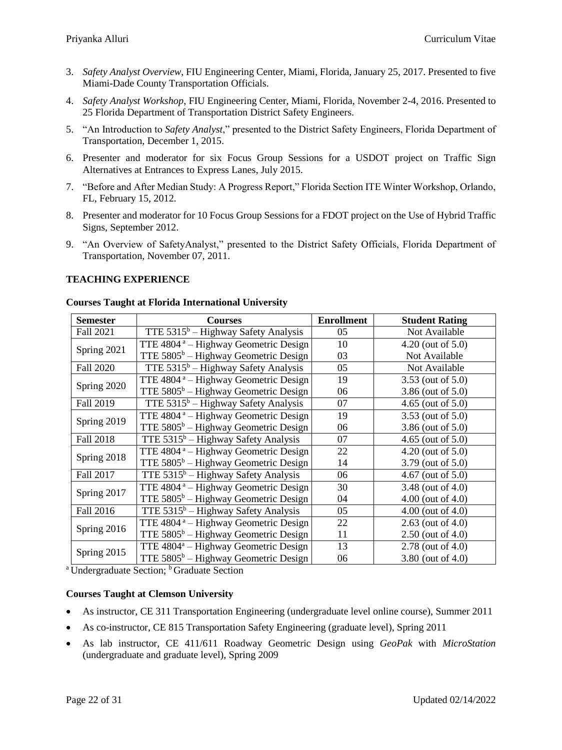- 3. *Safety Analyst Overview*, FIU Engineering Center, Miami, Florida, January 25, 2017. Presented to five Miami-Dade County Transportation Officials.
- 4. *Safety Analyst Workshop*, FIU Engineering Center, Miami, Florida, November 2-4, 2016. Presented to 25 Florida Department of Transportation District Safety Engineers.
- 5. "An Introduction to *Safety Analyst*," presented to the District Safety Engineers, Florida Department of Transportation, December 1, 2015.
- 6. Presenter and moderator for six Focus Group Sessions for a USDOT project on Traffic Sign Alternatives at Entrances to Express Lanes, July 2015.
- 7. "Before and After Median Study: A Progress Report," Florida Section ITE Winter Workshop, Orlando, FL, February 15, 2012.
- 8. Presenter and moderator for 10 Focus Group Sessions for a FDOT project on the Use of Hybrid Traffic Signs, September 2012.
- 9. "An Overview of SafetyAnalyst," presented to the District Safety Officials, Florida Department of Transportation, November 07, 2011.

### **TEACHING EXPERIENCE**

| <b>Semester</b>  | <b>Courses</b>                                   | <b>Enrollment</b> | <b>Student Rating</b>  |
|------------------|--------------------------------------------------|-------------------|------------------------|
| Fall 2021        | TTE $5315^b$ – Highway Safety Analysis           | 05                | Not Available          |
| Spring 2021      | TTE $4804^{\degree}$ – Highway Geometric Design  | 10                | $4.20$ (out of $5.0$ ) |
|                  | TTE $5805^b$ – Highway Geometric Design          | 03                | Not Available          |
| <b>Fall 2020</b> | TTE $5315^b$ – Highway Safety Analysis           | 05                | Not Available          |
| Spring 2020      | TTE 4804 <sup>a</sup> – Highway Geometric Design | 19                | 3.53 (out of 5.0)      |
|                  | TTE $5805^b$ – Highway Geometric Design          | 06                | 3.86 (out of 5.0)      |
| Fall 2019        | TTE $5315^b$ – Highway Safety Analysis           | 07                | 4.65 (out of $5.0$ )   |
| Spring 2019      | TTE 4804 <sup>a</sup> – Highway Geometric Design | 19                | 3.53 (out of 5.0)      |
|                  | TTE 5805 <sup>b</sup> - Highway Geometric Design | 06                | 3.86 (out of 5.0)      |
| Fall 2018        | TTE $5315^b$ – Highway Safety Analysis           | 07                | $4.65$ (out of $5.0$ ) |
| Spring 2018      | TTE 4804 <sup>a</sup> – Highway Geometric Design | 22                | $4.20$ (out of $5.0$ ) |
|                  | TTE $5805^b$ – Highway Geometric Design          | 14                | 3.79 (out of 5.0)      |
| Fall 2017        | TTE $5315^b$ – Highway Safety Analysis           | 06                | $4.67$ (out of $5.0$ ) |
| Spring 2017      | TTE 4804 <sup>a</sup> – Highway Geometric Design | 30                | 3.48 (out of 4.0)      |
|                  | TTE $5805^b$ – Highway Geometric Design          | 04                | $4.00$ (out of $4.0$ ) |
| Fall 2016        | TTE $5315^b$ – Highway Safety Analysis           | 05                | $4.00$ (out of $4.0$ ) |
| Spring 2016      | TTE 4804 <sup>a</sup> - Highway Geometric Design | 22                | $2.63$ (out of 4.0)    |
|                  | TTE $5805^b$ – Highway Geometric Design          | 11                | $2.50$ (out of 4.0)    |
| Spring 2015      | TTE 4804 <sup>a</sup> - Highway Geometric Design | 13                | 2.78 (out of 4.0)      |
|                  | TTE $5805^b$ – Highway Geometric Design          | 06                | 3.80 (out of 4.0)      |

#### **Courses Taught at Florida International University**

<sup>a</sup> Undergraduate Section; <sup>b</sup> Graduate Section

#### **Courses Taught at Clemson University**

- As instructor, CE 311 Transportation Engineering (undergraduate level online course), Summer 2011
- As co-instructor, CE 815 Transportation Safety Engineering (graduate level), Spring 2011
- As lab instructor, CE 411/611 Roadway Geometric Design using *GeoPak* with *MicroStation* (undergraduate and graduate level), Spring 2009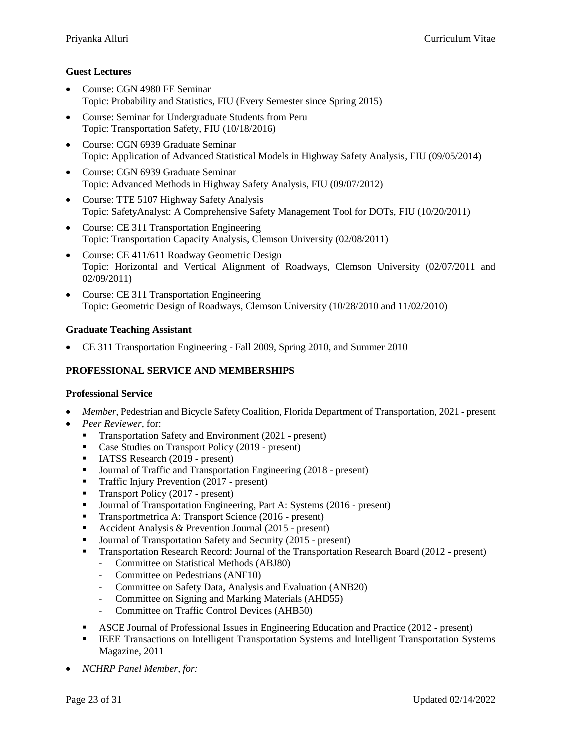### **Guest Lectures**

- Course: CGN 4980 FE Seminar Topic: Probability and Statistics, FIU (Every Semester since Spring 2015)
- Course: Seminar for Undergraduate Students from Peru Topic: Transportation Safety, FIU (10/18/2016)
- Course: CGN 6939 Graduate Seminar Topic: Application of Advanced Statistical Models in Highway Safety Analysis, FIU (09/05/2014)
- Course: CGN 6939 Graduate Seminar Topic: Advanced Methods in Highway Safety Analysis, FIU (09/07/2012)
- Course: TTE 5107 Highway Safety Analysis Topic: SafetyAnalyst: A Comprehensive Safety Management Tool for DOTs, FIU (10/20/2011)
- Course: CE 311 Transportation Engineering Topic: Transportation Capacity Analysis, Clemson University (02/08/2011)
- Course: CE 411/611 Roadway Geometric Design Topic: Horizontal and Vertical Alignment of Roadways, Clemson University (02/07/2011 and 02/09/2011)
- Course: CE 311 Transportation Engineering Topic: Geometric Design of Roadways, Clemson University (10/28/2010 and 11/02/2010)

### **Graduate Teaching Assistant**

CE 311 Transportation Engineering - Fall 2009, Spring 2010, and Summer 2010

### **PROFESSIONAL SERVICE AND MEMBERSHIPS**

#### **Professional Service**

- *Member*, Pedestrian and Bicycle Safety Coalition, Florida Department of Transportation, 2021 present
- *Peer Reviewer*, for:
	- Transportation Safety and Environment (2021 present)
	- Case Studies on Transport Policy (2019 present)
	- **IATSS Research (2019 present)**
	- Journal of Traffic and Transportation Engineering (2018 present)
	- **Traffic Injury Prevention (2017 present)**
	- **Transport Policy (2017 present)**
	- Journal of Transportation Engineering, Part A: Systems (2016 present)
	- **Transportmetrica A: Transport Science (2016 present)**
	- Accident Analysis & Prevention Journal (2015 present)
	- Journal of Transportation Safety and Security (2015 present)
	- Transportation Research Record: Journal of the Transportation Research Board (2012 present)
		- Committee on Statistical Methods (ABJ80)
		- Committee on Pedestrians (ANF10)
		- Committee on Safety Data, Analysis and Evaluation (ANB20)
		- Committee on Signing and Marking Materials (AHD55)
		- Committee on Traffic Control Devices (AHB50)
	- ASCE Journal of Professional Issues in Engineering Education and Practice (2012 present)
	- **IEEE Transactions on Intelligent Transportation Systems and Intelligent Transportation Systems** Magazine, 2011
- *NCHRP Panel Member, for:*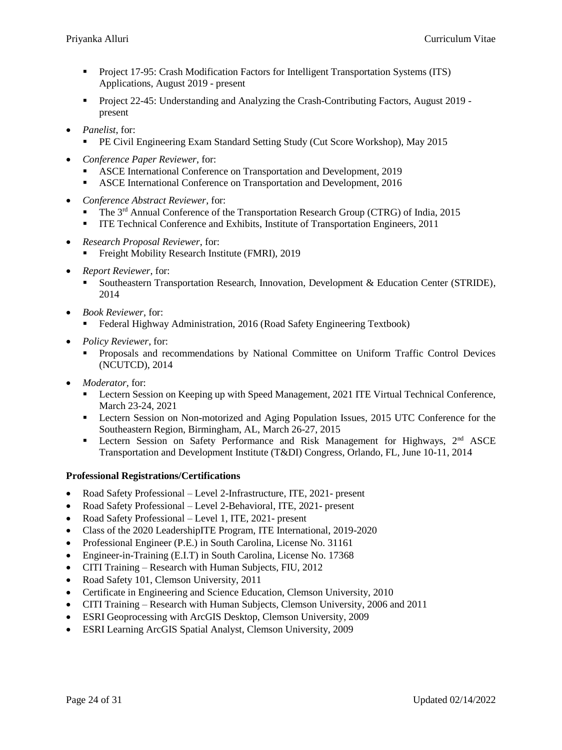- Project 17-95: Crash Modification Factors for Intelligent Transportation Systems (ITS) Applications, August 2019 - present
- Project 22-45: Understanding and Analyzing the Crash-Contributing Factors, August 2019 present
- *Panelist*, for:
	- PE Civil Engineering Exam Standard Setting Study (Cut Score Workshop), May 2015
- *Conference Paper Reviewer*, for:
	- ASCE International Conference on Transportation and Development, 2019
	- **ASCE International Conference on Transportation and Development, 2016**
- *Conference Abstract Reviewer*, for:
	- The 3rd Annual Conference of the Transportation Research Group (CTRG) of India, 2015
	- ITE Technical Conference and Exhibits, Institute of Transportation Engineers, 2011
- *Research Proposal Reviewer*, for:
	- Freight Mobility Research Institute (FMRI), 2019
- *Report Reviewer*, for:
	- Southeastern Transportation Research, Innovation, Development & Education Center (STRIDE), 2014
- *Book Reviewer*, for:
	- Federal Highway Administration, 2016 (Road Safety Engineering Textbook)
- *Policy Reviewer*, for:
	- Proposals and recommendations by National Committee on Uniform Traffic Control Devices (NCUTCD), 2014
- *Moderator,* for:
	- Lectern Session on Keeping up with Speed Management, 2021 ITE Virtual Technical Conference, March 23-24, 2021
	- **Exerch Session on Non-motorized and Aging Population Issues, 2015 UTC Conference for the** Southeastern Region, Birmingham, AL, March 26-27, 2015
	- **Lectern Session on Safety Performance and Risk Management for Highways,**  $2^{nd}$  **ASCE** Transportation and Development Institute (T&DI) Congress, Orlando, FL, June 10-11, 2014

## **Professional Registrations/Certifications**

- Road Safety Professional Level 2-Infrastructure, ITE, 2021- present
- Road Safety Professional Level 2-Behavioral, ITE, 2021- present
- Road Safety Professional Level 1, ITE, 2021- present
- Class of the 2020 LeadershipITE Program, ITE International, 2019-2020
- Professional Engineer (P.E.) in South Carolina, License No. 31161
- Engineer-in-Training (E.I.T) in South Carolina, License No. 17368
- CITI Training Research with Human Subjects, FIU, 2012
- Road Safety 101, Clemson University, 2011
- Certificate in Engineering and Science Education, Clemson University, 2010
- CITI Training Research with Human Subjects, Clemson University, 2006 and 2011
- ESRI Geoprocessing with ArcGIS Desktop, Clemson University, 2009
- ESRI Learning ArcGIS Spatial Analyst, Clemson University, 2009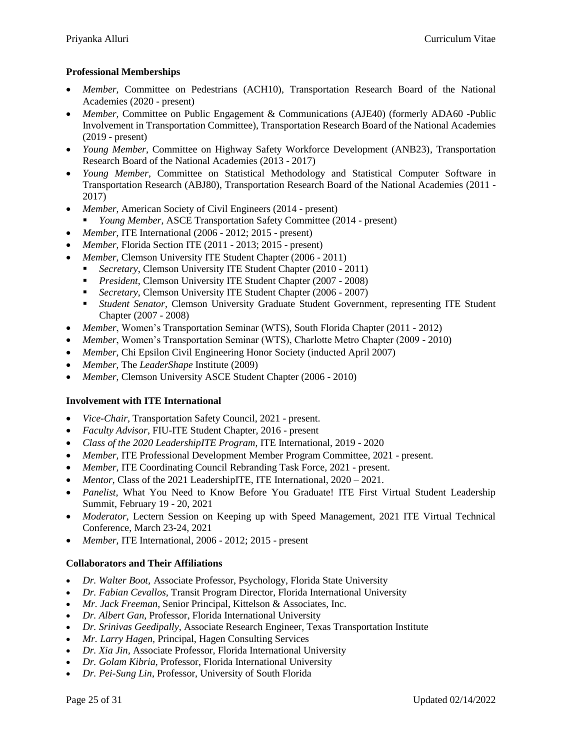# **Professional Memberships**

- *Member,* Committee on Pedestrians (ACH10), Transportation Research Board of the National Academies (2020 - present)
- *Member,* Committee on Public Engagement & Communications (AJE40) (formerly ADA60 -Public Involvement in Transportation Committee), Transportation Research Board of the National Academies (2019 - present)
- *Young Member*, Committee on Highway Safety Workforce Development (ANB23), Transportation Research Board of the National Academies (2013 - 2017)
- *Young Member*, Committee on Statistical Methodology and Statistical Computer Software in Transportation Research (ABJ80), Transportation Research Board of the National Academies (2011 - 2017)
- *Member*, American Society of Civil Engineers (2014 present)
	- *Young Member*, ASCE Transportation Safety Committee (2014 present)
- *Member*, ITE International (2006 2012; 2015 present)
- *Member*, Florida Section ITE (2011 2013; 2015 present)
- *Member*, Clemson University ITE Student Chapter (2006 2011)
	- *Secretary*, Clemson University ITE Student Chapter (2010 2011)
		- *President*, Clemson University ITE Student Chapter (2007 2008)
	- *Secretary*, Clemson University ITE Student Chapter (2006 2007)
	- *Student Senator*, Clemson University Graduate Student Government, representing ITE Student Chapter (2007 - 2008)
- *Member*, Women's Transportation Seminar (WTS), South Florida Chapter (2011 2012)
- *Member*, Women's Transportation Seminar (WTS), Charlotte Metro Chapter (2009 2010)
- *Member*, Chi Epsilon Civil Engineering Honor Society (inducted April 2007)
- *Member*, The *LeaderShape* Institute (2009)
- *Member*, Clemson University ASCE Student Chapter (2006 2010)

## **Involvement with ITE International**

- *Vice-Chair,* Transportation Safety Council, 2021 present.
- *Faculty Advisor*, FIU-ITE Student Chapter, 2016 present
- *Class of the 2020 LeadershipITE Program*, ITE International, 2019 2020
- *Member,* ITE Professional Development Member Program Committee, 2021 present.
- *Member,* ITE Coordinating Council Rebranding Task Force, 2021 present.
- *Mentor, Class of the 2021 LeadershipITE, ITE International, 2020 2021.*
- *Panelist,* What You Need to Know Before You Graduate! ITE First Virtual Student Leadership Summit, February 19 - 20, 2021
- *Moderator,* Lectern Session on Keeping up with Speed Management, 2021 ITE Virtual Technical Conference, March 23-24, 2021
- *Member*, ITE International, 2006 2012; 2015 present

#### **Collaborators and Their Affiliations**

- *Dr. Walter Boot,* Associate Professor, Psychology, Florida State University
- *Dr. Fabian Cevallos,* Transit Program Director, Florida International University
- *Mr. Jack Freeman*, Senior Principal, Kittelson & Associates, Inc.
- *Dr. Albert Gan*, Professor, Florida International University
- *Dr. Srinivas Geedipally*, Associate Research Engineer, Texas Transportation Institute
- *Mr. Larry Hagen,* Principal, Hagen Consulting Services
- *Dr. Xia Jin,* Associate Professor, Florida International University
- *Dr. Golam Kibria,* Professor, Florida International University
- *Dr. Pei-Sung Lin*, Professor, University of South Florida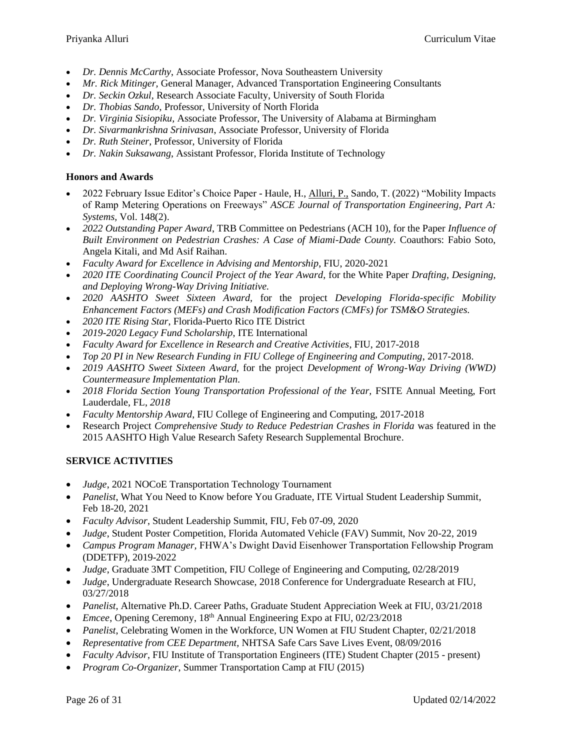- *Dr. Dennis McCarthy*, Associate Professor, Nova Southeastern University
- *Mr. Rick Mitinger,* General Manager, Advanced Transportation Engineering Consultants
- *Dr. Seckin Ozkul,* Research Associate Faculty, University of South Florida
- *Dr. Thobias Sando*, Professor, University of North Florida
- *Dr. Virginia Sisiopiku,* Associate Professor, The University of Alabama at Birmingham
- *Dr. Sivarmankrishna Srinivasan*, Associate Professor, University of Florida
- *Dr. Ruth Steiner*, Professor, University of Florida
- *Dr. Nakin Suksawang*, Assistant Professor, Florida Institute of Technology

# **Honors and Awards**

- 2022 February Issue Editor's Choice Paper Haule, H., Alluri, P., Sando, T. (2022) "Mobility Impacts of Ramp Metering Operations on Freeways" *ASCE Journal of Transportation Engineering, Part A: Systems,* Vol. 148(2).
- *2022 Outstanding Paper Award*, TRB Committee on Pedestrians (ACH 10), for the Paper *Influence of Built Environment on Pedestrian Crashes: A Case of Miami-Dade County.* Coauthors: Fabio Soto, Angela Kitali, and Md Asif Raihan.
- *Faculty Award for Excellence in Advising and Mentorship*, FIU, 2020-2021
- *2020 ITE Coordinating Council Project of the Year Award*, for the White Paper *Drafting, Designing, and Deploying Wrong-Way Driving Initiative.*
- *2020 AASHTO Sweet Sixteen Award,* for the project *Developing Florida-specific Mobility Enhancement Factors (MEFs) and Crash Modification Factors (CMFs) for TSM&O Strategies.*
- *2020 ITE Rising Star*, Florida-Puerto Rico ITE District
- *2019-2020 Legacy Fund Scholarship*, ITE International
- *Faculty Award for Excellence in Research and Creative Activities*, FIU, 2017-2018
- *Top 20 PI in New Research Funding in FIU College of Engineering and Computing*, 2017-2018.
- *2019 AASHTO Sweet Sixteen Award,* for the project *Development of Wrong-Way Driving (WWD) Countermeasure Implementation Plan*.
- 2018 Florida Section Young Transportation Professional of the Year, FSITE Annual Meeting, Fort Lauderdale, FL, *2018*
- *Faculty Mentorship Award*, FIU College of Engineering and Computing, 2017-2018
- Research Project *Comprehensive Study to Reduce Pedestrian Crashes in Florida* was featured in the 2015 AASHTO High Value Research Safety Research Supplemental Brochure.

# **SERVICE ACTIVITIES**

- *Judge*, 2021 NOCoE Transportation Technology Tournament
- Panelist, What You Need to Know before You Graduate, ITE Virtual Student Leadership Summit, Feb 18-20, 2021
- *Faculty Advisor*, Student Leadership Summit, FIU, Feb 07-09, 2020
- *Judge*, Student Poster Competition, Florida Automated Vehicle (FAV) Summit, Nov 20-22, 2019
- *Campus Program Manager,* FHWA's Dwight David Eisenhower Transportation Fellowship Program (DDETFP), 2019-2022
- *Judge*, Graduate 3MT Competition, FIU College of Engineering and Computing, 02/28/2019
- *Judge*, Undergraduate Research Showcase, 2018 Conference for Undergraduate Research at FIU, 03/27/2018
- *Panelist*, Alternative Ph.D. Career Paths, Graduate Student Appreciation Week at FIU, 03/21/2018
- *Emcee*, Opening Ceremony, 18<sup>th</sup> Annual Engineering Expo at FIU, 02/23/2018
- *Panelist*, Celebrating Women in the Workforce, UN Women at FIU Student Chapter, 02/21/2018
- *Representative from CEE Department,* NHTSA Safe Cars Save Lives Event, 08/09/2016
- *Faculty Advisor*, FIU Institute of Transportation Engineers (ITE) Student Chapter (2015 present)
- *Program Co-Organizer*, Summer Transportation Camp at FIU (2015)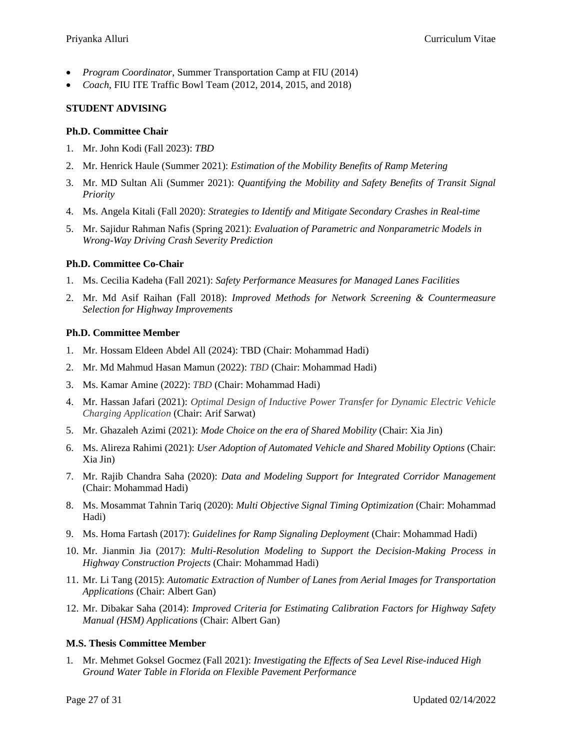- *Program Coordinator*, Summer Transportation Camp at FIU (2014)
- *Coach*, FIU ITE Traffic Bowl Team (2012, 2014, 2015, and 2018)

### **STUDENT ADVISING**

#### **Ph.D. Committee Chair**

- 1. Mr. John Kodi (Fall 2023): *TBD*
- 2. Mr. Henrick Haule (Summer 2021): *Estimation of the Mobility Benefits of Ramp Metering*
- 3. Mr. MD Sultan Ali (Summer 2021): *Quantifying the Mobility and Safety Benefits of Transit Signal Priority*
- 4. Ms. Angela Kitali (Fall 2020): *Strategies to Identify and Mitigate Secondary Crashes in Real-time*
- 5. Mr. Sajidur Rahman Nafis (Spring 2021): *Evaluation of Parametric and Nonparametric Models in Wrong-Way Driving Crash Severity Prediction*

### **Ph.D. Committee Co-Chair**

- 1. Ms. Cecilia Kadeha (Fall 2021): *Safety Performance Measures for Managed Lanes Facilities*
- 2. Mr. Md Asif Raihan (Fall 2018): *Improved Methods for Network Screening & Countermeasure Selection for Highway Improvements*

### **Ph.D. Committee Member**

- 1. Mr. Hossam Eldeen Abdel All (2024): TBD (Chair: Mohammad Hadi)
- 2. Mr. Md Mahmud Hasan Mamun (2022): *TBD* (Chair: Mohammad Hadi)
- 3. Ms. Kamar Amine (2022): *TBD* (Chair: Mohammad Hadi)
- 4. Mr. Hassan Jafari (2021): *Optimal Design of Inductive Power Transfer for Dynamic Electric Vehicle Charging Application* (Chair: Arif Sarwat)
- 5. Mr. Ghazaleh Azimi (2021): *Mode Choice on the era of Shared Mobility* (Chair: Xia Jin)
- 6. Ms. Alireza Rahimi (2021): *User Adoption of Automated Vehicle and Shared Mobility Options* (Chair: Xia Jin)
- 7. Mr. Rajib Chandra Saha (2020): *Data and Modeling Support for Integrated Corridor Management* (Chair: Mohammad Hadi)
- 8. Ms. Mosammat Tahnin Tariq (2020): *Multi Objective Signal Timing Optimization* (Chair: Mohammad Hadi)
- 9. Ms. Homa Fartash (2017): *Guidelines for Ramp Signaling Deployment* (Chair: Mohammad Hadi)
- 10. Mr. Jianmin Jia (2017): *Multi-Resolution Modeling to Support the Decision-Making Process in Highway Construction Projects* (Chair: Mohammad Hadi)
- 11. Mr. Li Tang (2015): *Automatic Extraction of Number of Lanes from Aerial Images for Transportation Applications* (Chair: Albert Gan)
- 12. Mr. Dibakar Saha (2014): *Improved Criteria for Estimating Calibration Factors for Highway Safety Manual (HSM) Applications* (Chair: Albert Gan)

#### **M.S. Thesis Committee Member**

1. Mr. Mehmet Goksel Gocmez (Fall 2021): *Investigating the Effects of Sea Level Rise-induced High Ground Water Table in Florida on Flexible Pavement Performance*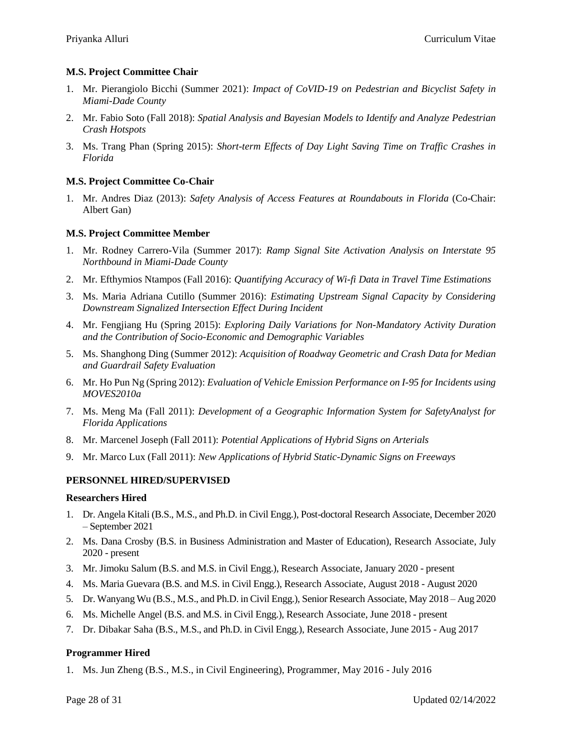### **M.S. Project Committee Chair**

- 1. Mr. Pierangiolo Bicchi (Summer 2021): *Impact of CoVID-19 on Pedestrian and Bicyclist Safety in Miami-Dade County*
- 2. Mr. Fabio Soto (Fall 2018): *Spatial Analysis and Bayesian Models to Identify and Analyze Pedestrian Crash Hotspots*
- 3. Ms. Trang Phan (Spring 2015): *Short-term Effects of Day Light Saving Time on Traffic Crashes in Florida*

### **M.S. Project Committee Co-Chair**

1. Mr. Andres Diaz (2013): *Safety Analysis of Access Features at Roundabouts in Florida* (Co-Chair: Albert Gan)

### **M.S. Project Committee Member**

- 1. Mr. Rodney Carrero-Vila (Summer 2017): *Ramp Signal Site Activation Analysis on Interstate 95 Northbound in Miami-Dade County*
- 2. Mr. Efthymios Ntampos (Fall 2016): *Quantifying Accuracy of Wi-fi Data in Travel Time Estimations*
- 3. Ms. Maria Adriana Cutillo (Summer 2016): *Estimating Upstream Signal Capacity by Considering Downstream Signalized Intersection Effect During Incident*
- 4. Mr. Fengjiang Hu (Spring 2015): *Exploring Daily Variations for Non-Mandatory Activity Duration and the Contribution of Socio-Economic and Demographic Variables*
- 5. Ms. Shanghong Ding (Summer 2012): *Acquisition of Roadway Geometric and Crash Data for Median and Guardrail Safety Evaluation*
- 6. Mr. Ho Pun Ng (Spring 2012): *Evaluation of Vehicle Emission Performance on I-95 for Incidents using MOVES2010a*
- 7. Ms. Meng Ma (Fall 2011): *Development of a Geographic Information System for SafetyAnalyst for Florida Applications*
- 8. Mr. Marcenel Joseph (Fall 2011): *Potential Applications of Hybrid Signs on Arterials*
- 9. Mr. Marco Lux (Fall 2011): *New Applications of Hybrid Static-Dynamic Signs on Freeways*

#### **PERSONNEL HIRED/SUPERVISED**

#### **Researchers Hired**

- 1. Dr. Angela Kitali (B.S., M.S., and Ph.D. in Civil Engg.), Post-doctoral Research Associate, December 2020 – September 2021
- 2. Ms. Dana Crosby (B.S. in Business Administration and Master of Education), Research Associate, July 2020 - present
- 3. Mr. Jimoku Salum (B.S. and M.S. in Civil Engg.), Research Associate, January 2020 present
- 4. Ms. Maria Guevara (B.S. and M.S. in Civil Engg.), Research Associate, August 2018 August 2020
- 5. Dr. Wanyang Wu (B.S., M.S., and Ph.D. in Civil Engg.), Senior Research Associate, May 2018 Aug 2020
- 6. Ms. Michelle Angel (B.S. and M.S. in Civil Engg.), Research Associate, June 2018 present
- 7. Dr. Dibakar Saha (B.S., M.S., and Ph.D. in Civil Engg.), Research Associate, June 2015 Aug 2017

## **Programmer Hired**

1. Ms. Jun Zheng (B.S., M.S., in Civil Engineering), Programmer, May 2016 - July 2016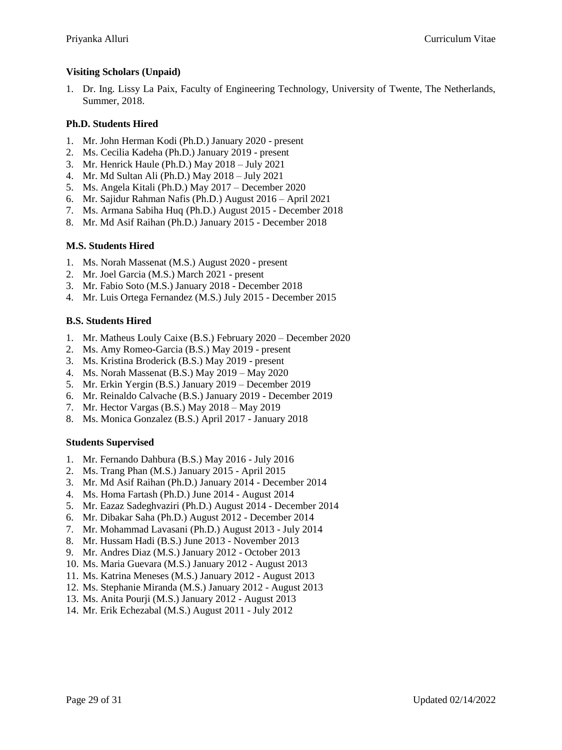# **Visiting Scholars (Unpaid)**

1. Dr. Ing. Lissy La Paix, Faculty of Engineering Technology, University of Twente, The Netherlands, Summer, 2018.

## **Ph.D. Students Hired**

- 1. Mr. John Herman Kodi (Ph.D.) January 2020 present
- 2. Ms. Cecilia Kadeha (Ph.D.) January 2019 present
- 3. Mr. Henrick Haule (Ph.D.) May 2018 July 2021
- 4. Mr. Md Sultan Ali (Ph.D.) May 2018 July 2021
- 5. Ms. Angela Kitali (Ph.D.) May 2017 December 2020
- 6. Mr. Sajidur Rahman Nafis (Ph.D.) August 2016 April 2021
- 7. Ms. Armana Sabiha Huq (Ph.D.) August 2015 December 2018
- 8. Mr. Md Asif Raihan (Ph.D.) January 2015 December 2018

## **M.S. Students Hired**

- 1. Ms. Norah Massenat (M.S.) August 2020 present
- 2. Mr. Joel Garcia (M.S.) March 2021 present
- 3. Mr. Fabio Soto (M.S.) January 2018 December 2018
- 4. Mr. Luis Ortega Fernandez (M.S.) July 2015 December 2015

## **B.S. Students Hired**

- 1. Mr. Matheus Louly Caixe (B.S.) February 2020 December 2020
- 2. Ms. Amy Romeo-Garcia (B.S.) May 2019 present
- 3. Ms. Kristina Broderick (B.S.) May 2019 present
- 4. Ms. Norah Massenat (B.S.) May 2019 May 2020
- 5. Mr. Erkin Yergin (B.S.) January 2019 December 2019
- 6. Mr. Reinaldo Calvache (B.S.) January 2019 December 2019
- 7. Mr. Hector Vargas (B.S.) May 2018 May 2019
- 8. Ms. Monica Gonzalez (B.S.) April 2017 January 2018

## **Students Supervised**

- 1. Mr. Fernando Dahbura (B.S.) May 2016 July 2016
- 2. Ms. Trang Phan (M.S.) January 2015 April 2015
- 3. Mr. Md Asif Raihan (Ph.D.) January 2014 December 2014
- 4. Ms. Homa Fartash (Ph.D.) June 2014 August 2014
- 5. Mr. Eazaz Sadeghvaziri (Ph.D.) August 2014 December 2014
- 6. Mr. Dibakar Saha (Ph.D.) August 2012 December 2014
- 7. Mr. Mohammad Lavasani (Ph.D.) August 2013 July 2014
- 8. Mr. Hussam Hadi (B.S.) June 2013 November 2013
- 9. Mr. Andres Diaz (M.S.) January 2012 October 2013
- 10. Ms. Maria Guevara (M.S.) January 2012 August 2013
- 11. Ms. Katrina Meneses (M.S.) January 2012 August 2013
- 12. Ms. Stephanie Miranda (M.S.) January 2012 August 2013
- 13. Ms. Anita Pourji (M.S.) January 2012 August 2013
- 14. Mr. Erik Echezabal (M.S.) August 2011 July 2012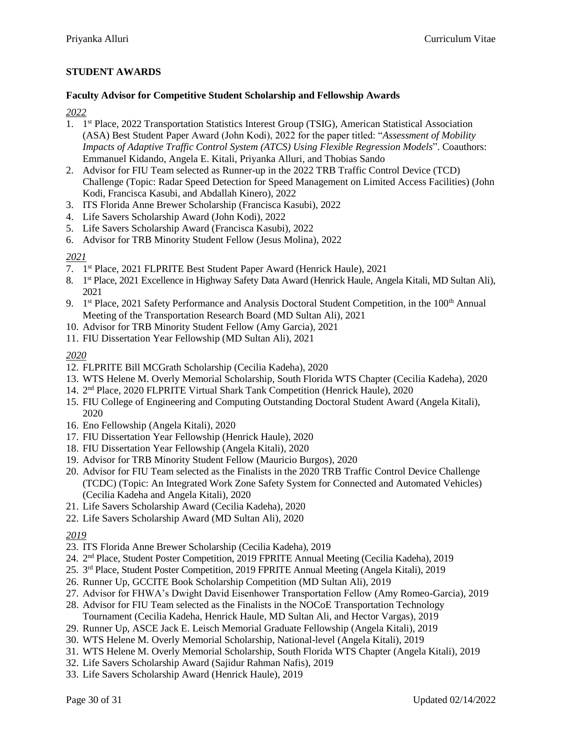# **STUDENT AWARDS**

#### **Faculty Advisor for Competitive Student Scholarship and Fellowship Awards**

*2022*

- 1. 1<sup>st</sup> Place, 2022 Transportation Statistics Interest Group (TSIG), American Statistical Association (ASA) Best Student Paper Award (John Kodi), 2022 for the paper titled: "*Assessment of Mobility Impacts of Adaptive Traffic Control System (ATCS) Using Flexible Regression Models*". Coauthors: Emmanuel Kidando, Angela E. Kitali, Priyanka Alluri, and Thobias Sando
- 2. Advisor for FIU Team selected as Runner-up in the 2022 TRB Traffic Control Device (TCD) Challenge (Topic: Radar Speed Detection for Speed Management on Limited Access Facilities) (John Kodi, Francisca Kasubi, and Abdallah Kinero), 2022
- 3. ITS Florida Anne Brewer Scholarship (Francisca Kasubi), 2022
- 4. Life Savers Scholarship Award (John Kodi), 2022
- 5. Life Savers Scholarship Award (Francisca Kasubi), 2022
- 6. Advisor for TRB Minority Student Fellow (Jesus Molina), 2022

*2021*

- 7. 1 st Place, 2021 FLPRITE Best Student Paper Award (Henrick Haule), 2021
- 8. 1<sup>st</sup> Place, 2021 Excellence in Highway Safety Data Award (Henrick Haule, Angela Kitali, MD Sultan Ali), 2021
- 9. 1<sup>st</sup> Place, 2021 Safety Performance and Analysis Doctoral Student Competition, in the 100<sup>th</sup> Annual Meeting of the Transportation Research Board (MD Sultan Ali), 2021
- 10. Advisor for TRB Minority Student Fellow (Amy Garcia), 2021
- 11. FIU Dissertation Year Fellowship (MD Sultan Ali), 2021

*2020*

- 12. FLPRITE Bill MCGrath Scholarship (Cecilia Kadeha), 2020
- 13. WTS Helene M. Overly Memorial Scholarship, South Florida WTS Chapter (Cecilia Kadeha), 2020
- 14. 2 nd Place, 2020 FLPRITE Virtual Shark Tank Competition (Henrick Haule), 2020
- 15. FIU College of Engineering and Computing Outstanding Doctoral Student Award (Angela Kitali), 2020
- 16. Eno Fellowship (Angela Kitali), 2020
- 17. FIU Dissertation Year Fellowship (Henrick Haule), 2020
- 18. FIU Dissertation Year Fellowship (Angela Kitali), 2020
- 19. Advisor for TRB Minority Student Fellow (Mauricio Burgos), 2020
- 20. Advisor for FIU Team selected as the Finalists in the 2020 TRB Traffic Control Device Challenge (TCDC) (Topic: An Integrated Work Zone Safety System for Connected and Automated Vehicles) (Cecilia Kadeha and Angela Kitali), 2020
- 21. Life Savers Scholarship Award (Cecilia Kadeha), 2020
- 22. Life Savers Scholarship Award (MD Sultan Ali), 2020

*2019*

- 23. ITS Florida Anne Brewer Scholarship (Cecilia Kadeha), 2019
- 24. 2<sup>nd</sup> Place, Student Poster Competition, 2019 FPRITE Annual Meeting (Cecilia Kadeha), 2019
- 25. 3<sup>rd</sup> Place, Student Poster Competition, 2019 FPRITE Annual Meeting (Angela Kitali), 2019
- 26. Runner Up, GCCITE Book Scholarship Competition (MD Sultan Ali), 2019
- 27. Advisor for FHWA's Dwight David Eisenhower Transportation Fellow (Amy Romeo-Garcia), 2019
- 28. Advisor for FIU Team selected as the Finalists in the NOCoE Transportation Technology Tournament (Cecilia Kadeha, Henrick Haule, MD Sultan Ali, and Hector Vargas), 2019
- 29. Runner Up, ASCE Jack E. Leisch Memorial Graduate Fellowship (Angela Kitali), 2019
- 30. WTS Helene M. Overly Memorial Scholarship, National-level (Angela Kitali), 2019
- 31. WTS Helene M. Overly Memorial Scholarship, South Florida WTS Chapter (Angela Kitali), 2019
- 32. Life Savers Scholarship Award (Sajidur Rahman Nafis), 2019
- 33. Life Savers Scholarship Award (Henrick Haule), 2019